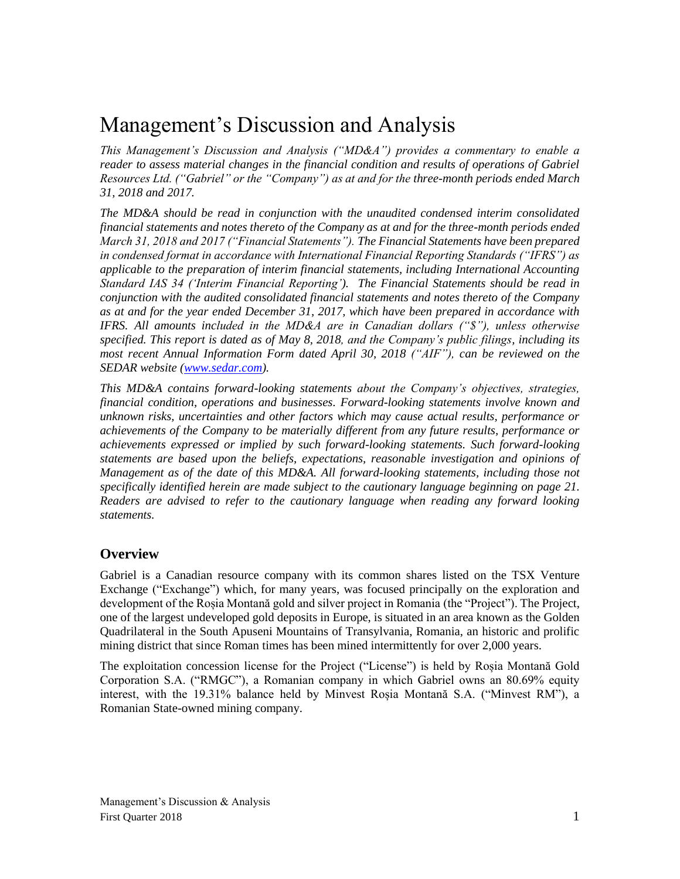# Management's Discussion and Analysis

*This Management's Discussion and Analysis ("MD&A") provides a commentary to enable a reader to assess material changes in the financial condition and results of operations of Gabriel Resources Ltd. ("Gabriel" or the "Company") as at and for the three-month periods ended March 31, 2018 and 2017.*

*The MD&A should be read in conjunction with the unaudited condensed interim consolidated financial statements and notes thereto of the Company as at and for the three-month periods ended March 31, 2018 and 2017 ("Financial Statements"). The Financial Statements have been prepared in condensed format in accordance with International Financial Reporting Standards ("IFRS") as applicable to the preparation of interim financial statements, including International Accounting Standard IAS 34 ('Interim Financial Reporting'). The Financial Statements should be read in conjunction with the audited consolidated financial statements and notes thereto of the Company as at and for the year ended December 31, 2017, which have been prepared in accordance with IFRS. All amounts included in the MD&A are in Canadian dollars ("\$"), unless otherwise specified. This report is dated as of May 8, 2018, and the Company's public filings, including its most recent Annual Information Form dated April 30, 2018 ("AIF"), can be reviewed on the SEDAR website [\(www.sedar.com\)](http://www.sedar.com/).*

*This MD&A contains forward-looking statements about the Company's objectives, strategies, financial condition, operations and businesses. Forward-looking statements involve known and unknown risks, uncertainties and other factors which may cause actual results, performance or achievements of the Company to be materially different from any future results, performance or achievements expressed or implied by such forward-looking statements. Such forward-looking statements are based upon the beliefs, expectations, reasonable investigation and opinions of Management as of the date of this MD&A. All forward-looking statements, including those not specifically identified herein are made subject to the cautionary language beginning on page 21. Readers are advised to refer to the cautionary language when reading any forward looking statements.*

### **Overview**

Gabriel is a Canadian resource company with its common shares listed on the TSX Venture Exchange ("Exchange") which, for many years, was focused principally on the exploration and development of the Roșia Montană gold and silver project in Romania (the "Project"). The Project, one of the largest undeveloped gold deposits in Europe, is situated in an area known as the Golden Quadrilateral in the South Apuseni Mountains of Transylvania, Romania, an historic and prolific mining district that since Roman times has been mined intermittently for over 2,000 years.

The exploitation concession license for the Project ("License") is held by Roșia Montană Gold Corporation S.A. ("RMGC"), a Romanian company in which Gabriel owns an 80.69% equity interest, with the 19.31% balance held by Minvest Roșia Montană S.A. ("Minvest RM"), a Romanian State-owned mining company.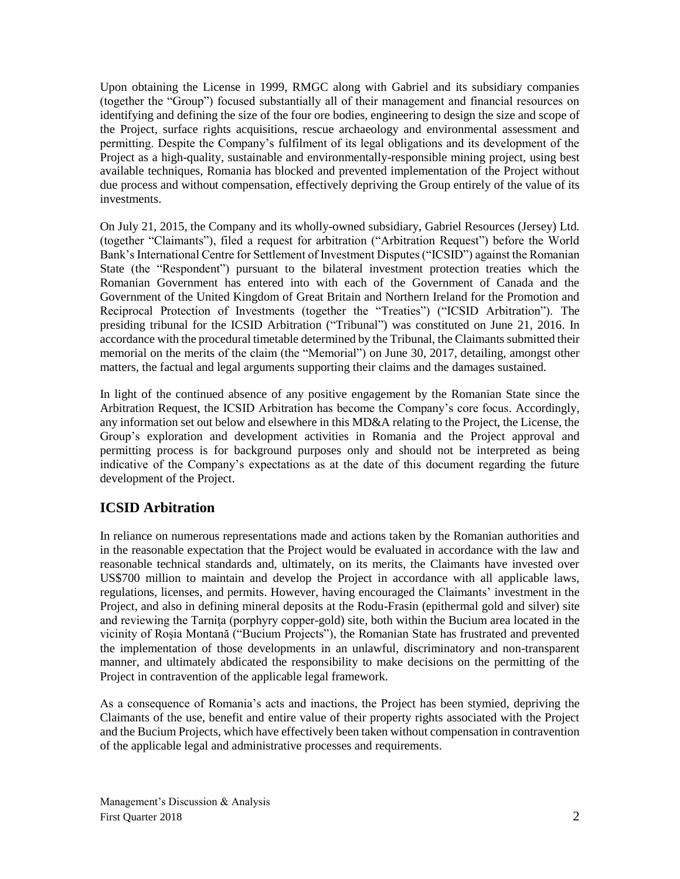Upon obtaining the License in 1999, RMGC along with Gabriel and its subsidiary companies (together the "Group") focused substantially all of their management and financial resources on identifying and defining the size of the four ore bodies, engineering to design the size and scope of the Project, surface rights acquisitions, rescue archaeology and environmental assessment and permitting. Despite the Company's fulfilment of its legal obligations and its development of the Project as a high-quality, sustainable and environmentally-responsible mining project, using best available techniques, Romania has blocked and prevented implementation of the Project without due process and without compensation, effectively depriving the Group entirely of the value of its investments.

On July 21, 2015, the Company and its wholly-owned subsidiary, Gabriel Resources (Jersey) Ltd. (together "Claimants"), filed a request for arbitration ("Arbitration Request") before the World Bank's International Centre for Settlement of Investment Disputes ("ICSID") against the Romanian State (the "Respondent") pursuant to the bilateral investment protection treaties which the Romanian Government has entered into with each of the Government of Canada and the Government of the United Kingdom of Great Britain and Northern Ireland for the Promotion and Reciprocal Protection of Investments (together the "Treaties") ("ICSID Arbitration"). The presiding tribunal for the ICSID Arbitration ("Tribunal") was constituted on June 21, 2016. In accordance with the procedural timetable determined by the Tribunal, the Claimants submitted their memorial on the merits of the claim (the "Memorial") on June 30, 2017, detailing, amongst other matters, the factual and legal arguments supporting their claims and the damages sustained.

In light of the continued absence of any positive engagement by the Romanian State since the Arbitration Request, the ICSID Arbitration has become the Company's core focus. Accordingly, any information set out below and elsewhere in this MD&A relating to the Project, the License, the Group's exploration and development activities in Romania and the Project approval and permitting process is for background purposes only and should not be interpreted as being indicative of the Company's expectations as at the date of this document regarding the future development of the Project.

## **ICSID Arbitration**

In reliance on numerous representations made and actions taken by the Romanian authorities and in the reasonable expectation that the Project would be evaluated in accordance with the law and reasonable technical standards and, ultimately, on its merits, the Claimants have invested over US\$700 million to maintain and develop the Project in accordance with all applicable laws, regulations, licenses, and permits. However, having encouraged the Claimants' investment in the Project, and also in defining mineral deposits at the Rodu-Frasin (epithermal gold and silver) site and reviewing the Tarnita (porphyry copper-gold) site, both within the Bucium area located in the vicinity of Roşia Montană ("Bucium Projects"), the Romanian State has frustrated and prevented the implementation of those developments in an unlawful, discriminatory and non-transparent manner, and ultimately abdicated the responsibility to make decisions on the permitting of the Project in contravention of the applicable legal framework.

As a consequence of Romania's acts and inactions, the Project has been stymied, depriving the Claimants of the use, benefit and entire value of their property rights associated with the Project and the Bucium Projects, which have effectively been taken without compensation in contravention of the applicable legal and administrative processes and requirements.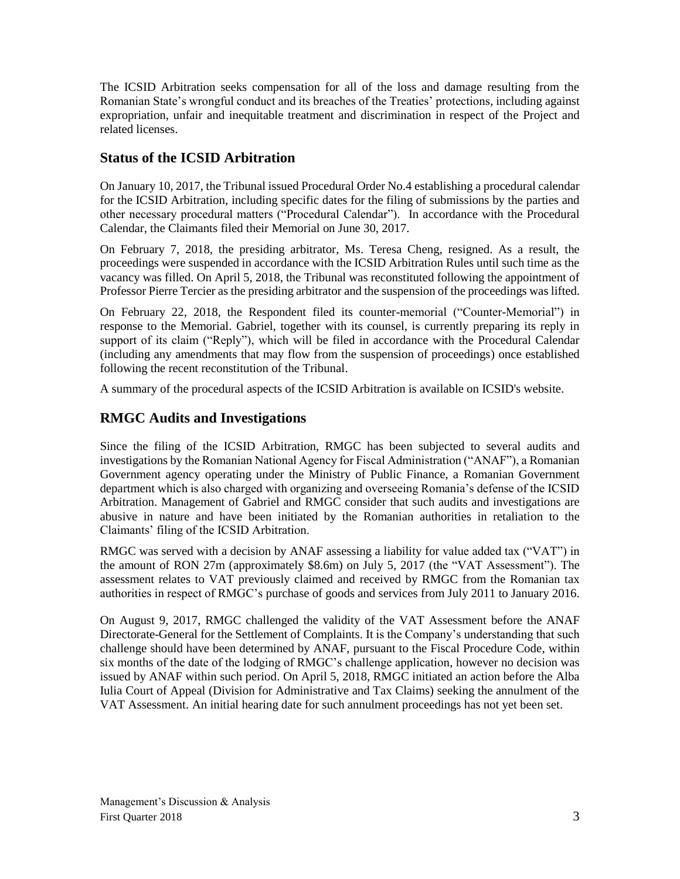The ICSID Arbitration seeks compensation for all of the loss and damage resulting from the Romanian State's wrongful conduct and its breaches of the Treaties' protections, including against expropriation, unfair and inequitable treatment and discrimination in respect of the Project and related licenses.

## **Status of the ICSID Arbitration**

On January 10, 2017, the Tribunal issued Procedural Order No.4 establishing a procedural calendar for the ICSID Arbitration, including specific dates for the filing of submissions by the parties and other necessary procedural matters ("Procedural Calendar"). In accordance with the Procedural Calendar, the Claimants filed their Memorial on June 30, 2017.

On February 7, 2018, the presiding arbitrator, Ms. Teresa Cheng, resigned. As a result, the proceedings were suspended in accordance with the ICSID Arbitration Rules until such time as the vacancy was filled. On April 5, 2018, the Tribunal was reconstituted following the appointment of Professor Pierre Tercier as the presiding arbitrator and the suspension of the proceedings was lifted.

On February 22, 2018, the Respondent filed its counter-memorial ("Counter-Memorial") in response to the Memorial. Gabriel, together with its counsel, is currently preparing its reply in support of its claim ("Reply"), which will be filed in accordance with the Procedural Calendar (including any amendments that may flow from the suspension of proceedings) once established following the recent reconstitution of the Tribunal.

A summary of the procedural aspects of the ICSID Arbitration is available on ICSID's website.

### **RMGC Audits and Investigations**

Since the filing of the ICSID Arbitration, RMGC has been subjected to several audits and investigations by the Romanian National Agency for Fiscal Administration ("ANAF"), a Romanian Government agency operating under the Ministry of Public Finance, a Romanian Government department which is also charged with organizing and overseeing Romania's defense of the ICSID Arbitration. Management of Gabriel and RMGC consider that such audits and investigations are abusive in nature and have been initiated by the Romanian authorities in retaliation to the Claimants' filing of the ICSID Arbitration.

RMGC was served with a decision by ANAF assessing a liability for value added tax ("VAT") in the amount of RON 27m (approximately \$8.6m) on July 5, 2017 (the "VAT Assessment"). The assessment relates to VAT previously claimed and received by RMGC from the Romanian tax authorities in respect of RMGC's purchase of goods and services from July 2011 to January 2016.

On August 9, 2017, RMGC challenged the validity of the VAT Assessment before the ANAF Directorate-General for the Settlement of Complaints. It is the Company's understanding that such challenge should have been determined by ANAF, pursuant to the Fiscal Procedure Code, within six months of the date of the lodging of RMGC's challenge application, however no decision was issued by ANAF within such period. On April 5, 2018, RMGC initiated an action before the Alba Iulia Court of Appeal (Division for Administrative and Tax Claims) seeking the annulment of the VAT Assessment. An initial hearing date for such annulment proceedings has not yet been set.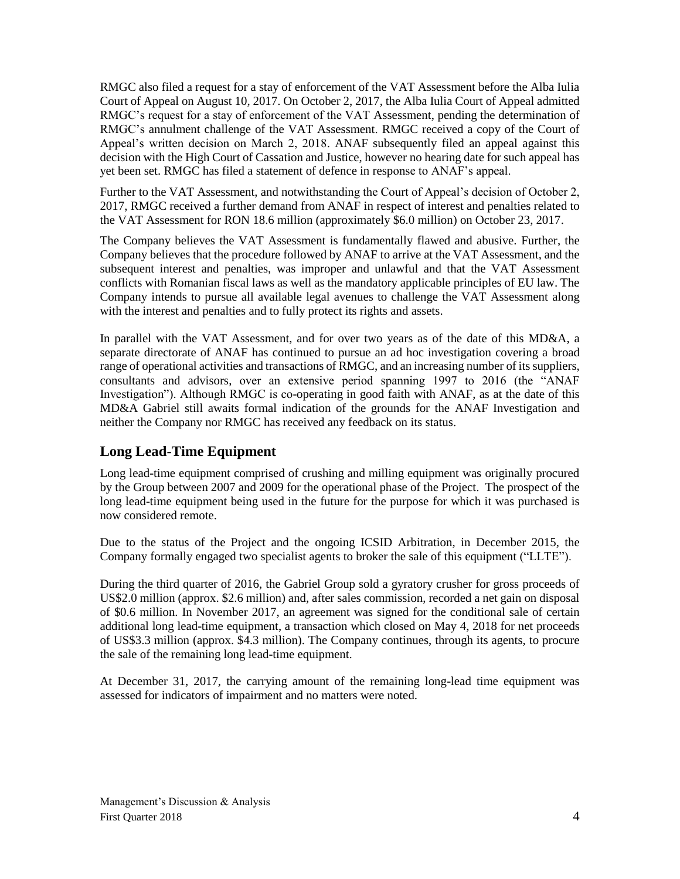RMGC also filed a request for a stay of enforcement of the VAT Assessment before the Alba Iulia Court of Appeal on August 10, 2017. On October 2, 2017, the Alba Iulia Court of Appeal admitted RMGC's request for a stay of enforcement of the VAT Assessment, pending the determination of RMGC's annulment challenge of the VAT Assessment. RMGC received a copy of the Court of Appeal's written decision on March 2, 2018. ANAF subsequently filed an appeal against this decision with the High Court of Cassation and Justice, however no hearing date for such appeal has yet been set. RMGC has filed a statement of defence in response to ANAF's appeal.

Further to the VAT Assessment, and notwithstanding the Court of Appeal's decision of October 2, 2017, RMGC received a further demand from ANAF in respect of interest and penalties related to the VAT Assessment for RON 18.6 million (approximately \$6.0 million) on October 23, 2017.

The Company believes the VAT Assessment is fundamentally flawed and abusive. Further, the Company believes that the procedure followed by ANAF to arrive at the VAT Assessment, and the subsequent interest and penalties, was improper and unlawful and that the VAT Assessment conflicts with Romanian fiscal laws as well as the mandatory applicable principles of EU law. The Company intends to pursue all available legal avenues to challenge the VAT Assessment along with the interest and penalties and to fully protect its rights and assets.

In parallel with the VAT Assessment, and for over two years as of the date of this MD&A, a separate directorate of ANAF has continued to pursue an ad hoc investigation covering a broad range of operational activities and transactions of RMGC, and an increasing number of its suppliers, consultants and advisors, over an extensive period spanning 1997 to 2016 (the "ANAF Investigation"). Although RMGC is co-operating in good faith with ANAF, as at the date of this MD&A Gabriel still awaits formal indication of the grounds for the ANAF Investigation and neither the Company nor RMGC has received any feedback on its status.

## **Long Lead-Time Equipment**

Long lead-time equipment comprised of crushing and milling equipment was originally procured by the Group between 2007 and 2009 for the operational phase of the Project. The prospect of the long lead-time equipment being used in the future for the purpose for which it was purchased is now considered remote.

Due to the status of the Project and the ongoing ICSID Arbitration, in December 2015, the Company formally engaged two specialist agents to broker the sale of this equipment ("LLTE").

During the third quarter of 2016, the Gabriel Group sold a gyratory crusher for gross proceeds of US\$2.0 million (approx. \$2.6 million) and, after sales commission, recorded a net gain on disposal of \$0.6 million. In November 2017, an agreement was signed for the conditional sale of certain additional long lead-time equipment, a transaction which closed on May 4, 2018 for net proceeds of US\$3.3 million (approx. \$4.3 million). The Company continues, through its agents, to procure the sale of the remaining long lead-time equipment.

At December 31, 2017, the carrying amount of the remaining long-lead time equipment was assessed for indicators of impairment and no matters were noted.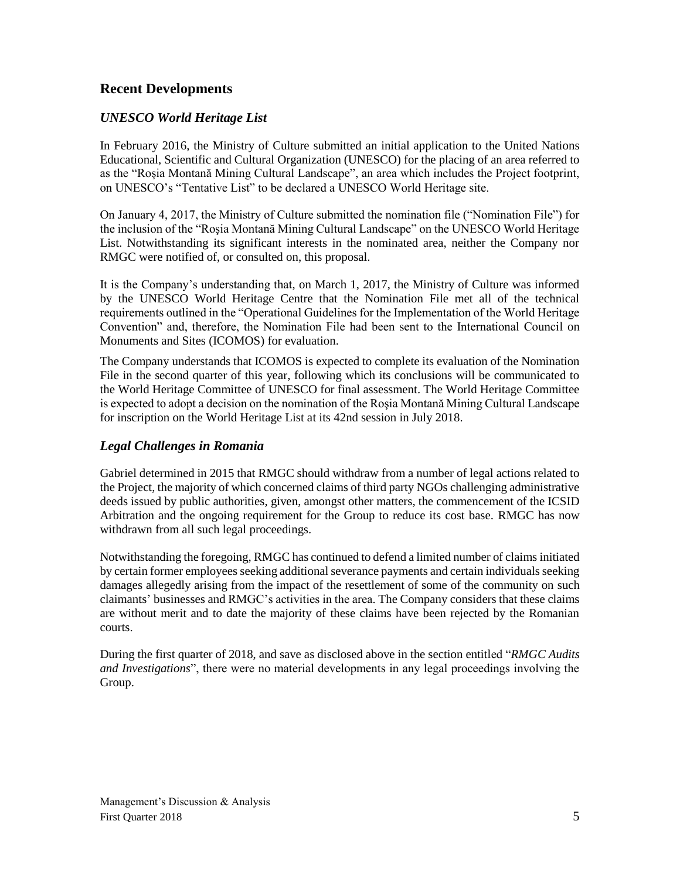### **Recent Developments**

### *UNESCO World Heritage List*

In February 2016, the Ministry of Culture submitted an initial application to the United Nations Educational, Scientific and Cultural Organization (UNESCO) for the placing of an area referred to as the "Roşia Montană Mining Cultural Landscape", an area which includes the Project footprint, on UNESCO's "Tentative List" to be declared a UNESCO World Heritage site.

On January 4, 2017, the Ministry of Culture submitted the nomination file ("Nomination File") for the inclusion of the "Roşia Montană Mining Cultural Landscape" on the UNESCO World Heritage List. Notwithstanding its significant interests in the nominated area, neither the Company nor RMGC were notified of, or consulted on, this proposal.

It is the Company's understanding that, on March 1, 2017, the Ministry of Culture was informed by the UNESCO World Heritage Centre that the Nomination File met all of the technical requirements outlined in the "Operational Guidelines for the Implementation of the World Heritage Convention" and, therefore, the Nomination File had been sent to the International Council on Monuments and Sites (ICOMOS) for evaluation.

The Company understands that ICOMOS is expected to complete its evaluation of the Nomination File in the second quarter of this year, following which its conclusions will be communicated to the World Heritage Committee of UNESCO for final assessment. The World Heritage Committee is expected to adopt a decision on the nomination of the Roşia Montană Mining Cultural Landscape for inscription on the World Heritage List at its 42nd session in July 2018.

### *Legal Challenges in Romania*

Gabriel determined in 2015 that RMGC should withdraw from a number of legal actions related to the Project, the majority of which concerned claims of third party NGOs challenging administrative deeds issued by public authorities, given, amongst other matters, the commencement of the ICSID Arbitration and the ongoing requirement for the Group to reduce its cost base. RMGC has now withdrawn from all such legal proceedings.

Notwithstanding the foregoing, RMGC has continued to defend a limited number of claims initiated by certain former employees seeking additional severance payments and certain individuals seeking damages allegedly arising from the impact of the resettlement of some of the community on such claimants' businesses and RMGC's activities in the area. The Company considers that these claims are without merit and to date the majority of these claims have been rejected by the Romanian courts.

During the first quarter of 2018, and save as disclosed above in the section entitled "*RMGC Audits and Investigations*", there were no material developments in any legal proceedings involving the Group.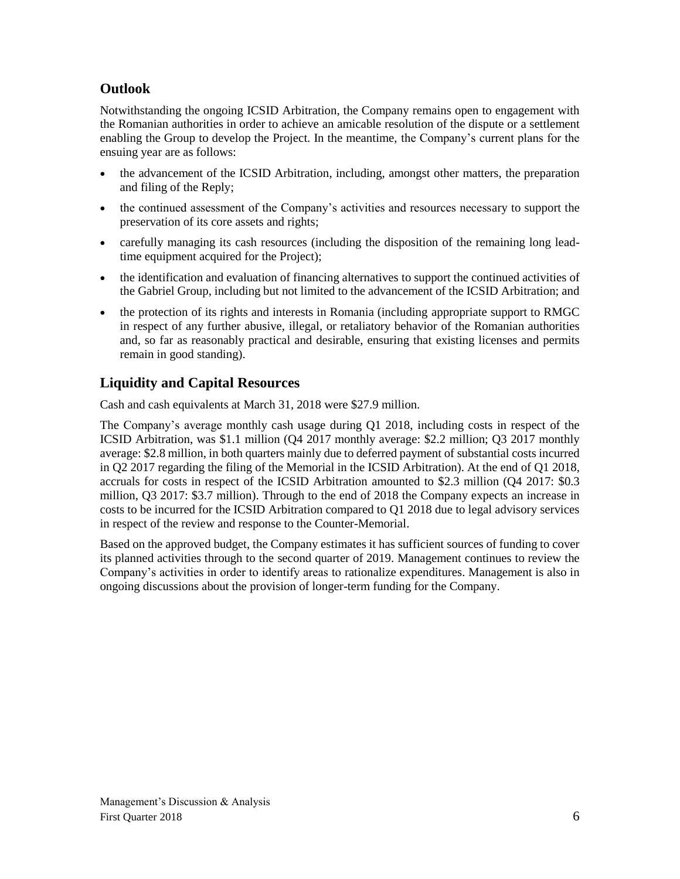## **Outlook**

Notwithstanding the ongoing ICSID Arbitration, the Company remains open to engagement with the Romanian authorities in order to achieve an amicable resolution of the dispute or a settlement enabling the Group to develop the Project. In the meantime, the Company's current plans for the ensuing year are as follows:

- the advancement of the ICSID Arbitration, including, amongst other matters, the preparation and filing of the Reply;
- the continued assessment of the Company's activities and resources necessary to support the preservation of its core assets and rights;
- carefully managing its cash resources (including the disposition of the remaining long leadtime equipment acquired for the Project);
- the identification and evaluation of financing alternatives to support the continued activities of the Gabriel Group, including but not limited to the advancement of the ICSID Arbitration; and
- the protection of its rights and interests in Romania (including appropriate support to RMGC in respect of any further abusive, illegal, or retaliatory behavior of the Romanian authorities and, so far as reasonably practical and desirable, ensuring that existing licenses and permits remain in good standing).

## **Liquidity and Capital Resources**

Cash and cash equivalents at March 31, 2018 were \$27.9 million.

The Company's average monthly cash usage during Q1 2018, including costs in respect of the ICSID Arbitration, was \$1.1 million (Q4 2017 monthly average: \$2.2 million; Q3 2017 monthly average: \$2.8 million, in both quarters mainly due to deferred payment of substantial costs incurred in Q2 2017 regarding the filing of the Memorial in the ICSID Arbitration). At the end of Q1 2018, accruals for costs in respect of the ICSID Arbitration amounted to \$2.3 million (Q4 2017: \$0.3 million, Q3 2017: \$3.7 million). Through to the end of 2018 the Company expects an increase in costs to be incurred for the ICSID Arbitration compared to Q1 2018 due to legal advisory services in respect of the review and response to the Counter-Memorial.

Based on the approved budget, the Company estimates it has sufficient sources of funding to cover its planned activities through to the second quarter of 2019. Management continues to review the Company's activities in order to identify areas to rationalize expenditures. Management is also in ongoing discussions about the provision of longer-term funding for the Company.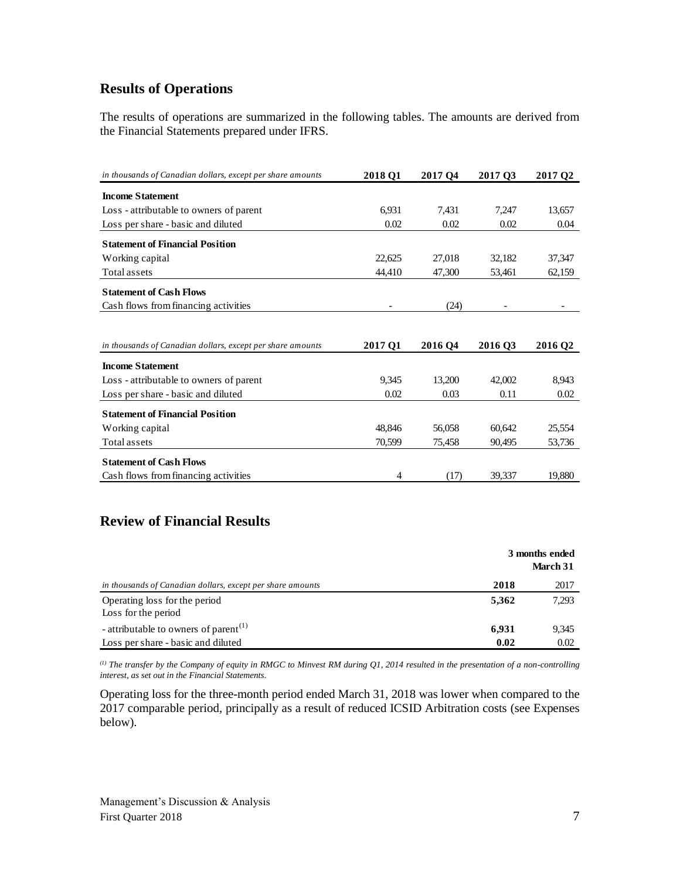## **Results of Operations**

The results of operations are summarized in the following tables. The amounts are derived from the Financial Statements prepared under IFRS.

| in thousands of Canadian dollars, except per share amounts | 2018 O1 | 2017 O <sub>4</sub> | 2017 03 | 2017 Q2             |
|------------------------------------------------------------|---------|---------------------|---------|---------------------|
| <b>Income Statement</b>                                    |         |                     |         |                     |
| Loss - attributable to owners of parent                    | 6,931   | 7,431               | 7,247   | 13,657              |
| Loss per share - basic and diluted                         | 0.02    | 0.02                | 0.02    | 0.04                |
| <b>Statement of Financial Position</b>                     |         |                     |         |                     |
| Working capital                                            | 22.625  | 27,018              | 32,182  | 37,347              |
| Total assets                                               | 44,410  | 47,300              | 53,461  | 62,159              |
| <b>Statement of Cash Flows</b>                             |         |                     |         |                     |
| Cash flows from financing activities                       |         | (24)                |         |                     |
|                                                            |         |                     |         |                     |
| in thousands of Canadian dollars, except per share amounts | 2017 Q1 | 2016 04             | 2016 Q3 | 2016 Q <sub>2</sub> |
| <b>Income Statement</b>                                    |         |                     |         |                     |
| Loss - attributable to owners of parent                    | 9,345   | 13,200              | 42,002  | 8,943               |
| Loss per share - basic and diluted                         | 0.02    | 0.03                | 0.11    | 0.02                |
| <b>Statement of Financial Position</b>                     |         |                     |         |                     |
| Working capital                                            | 48.846  | 56,058              | 60.642  | 25,554              |
| Total assets                                               | 70,599  | 75,458              | 90,495  | 53,736              |
| <b>Statement of Cash Flows</b>                             |         |                     |         |                     |
| Cash flows from financing activities                       | 4       | (17)                | 39,337  | 19,880              |

## **Review of Financial Results**

|                                                            |       | 3 months ended<br>March 31 |
|------------------------------------------------------------|-------|----------------------------|
| in thousands of Canadian dollars, except per share amounts | 2018  | 2017                       |
| Operating loss for the period<br>Loss for the period       | 5,362 | 7,293                      |
| - attributable to owners of parent <sup>(1)</sup>          | 6,931 | 9,345                      |
| Loss per share - basic and diluted                         | 0.02  | 0.02                       |

*(1) The transfer by the Company of equity in RMGC to Minvest RM during Q1, 2014 resulted in the presentation of a non-controlling interest, as set out in the Financial Statements.*

Operating loss for the three-month period ended March 31, 2018 was lower when compared to the 2017 comparable period, principally as a result of reduced ICSID Arbitration costs (see Expenses below).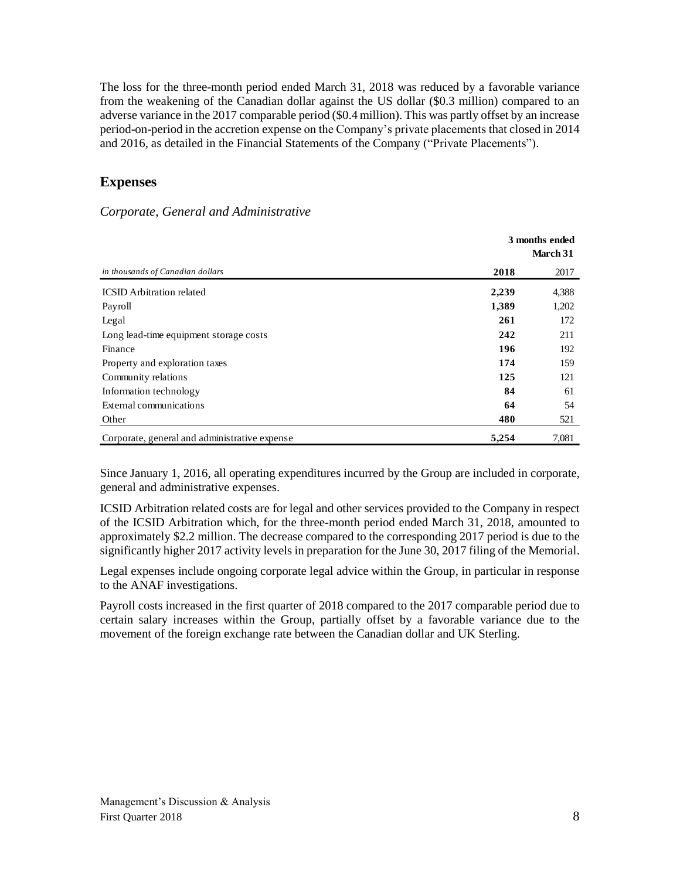The loss for the three-month period ended March 31, 2018 was reduced by a favorable variance from the weakening of the Canadian dollar against the US dollar (\$0.3 million) compared to an adverse variance in the 2017 comparable period (\$0.4 million). This was partly offset by an increase period-on-period in the accretion expense on the Company's private placements that closed in 2014 and 2016, as detailed in the Financial Statements of the Company ("Private Placements").

### **Expenses**

#### *Corporate, General and Administrative*

|                                               |       | 3 months ended<br>March 31 |
|-----------------------------------------------|-------|----------------------------|
| in thousands of Canadian dollars              | 2018  | 2017                       |
| <b>ICSID</b> Arbitration related              | 2,239 | 4,388                      |
| Payroll                                       | 1,389 | 1,202                      |
| Legal                                         | 261   | 172                        |
| Long lead-time equipment storage costs        | 242   | 211                        |
| Finance                                       | 196   | 192                        |
| Property and exploration taxes                | 174   | 159                        |
| Community relations                           | 125   | 121                        |
| Information technology                        | 84    | 61                         |
| External communications                       | 64    | 54                         |
| Other                                         | 480   | 521                        |
| Corporate, general and administrative expense | 5,254 | 7,081                      |

Since January 1, 2016, all operating expenditures incurred by the Group are included in corporate, general and administrative expenses.

ICSID Arbitration related costs are for legal and other services provided to the Company in respect of the ICSID Arbitration which, for the three-month period ended March 31, 2018, amounted to approximately \$2.2 million. The decrease compared to the corresponding 2017 period is due to the significantly higher 2017 activity levels in preparation for the June 30, 2017 filing of the Memorial.

Legal expenses include ongoing corporate legal advice within the Group, in particular in response to the ANAF investigations.

Payroll costs increased in the first quarter of 2018 compared to the 2017 comparable period due to certain salary increases within the Group, partially offset by a favorable variance due to the movement of the foreign exchange rate between the Canadian dollar and UK Sterling.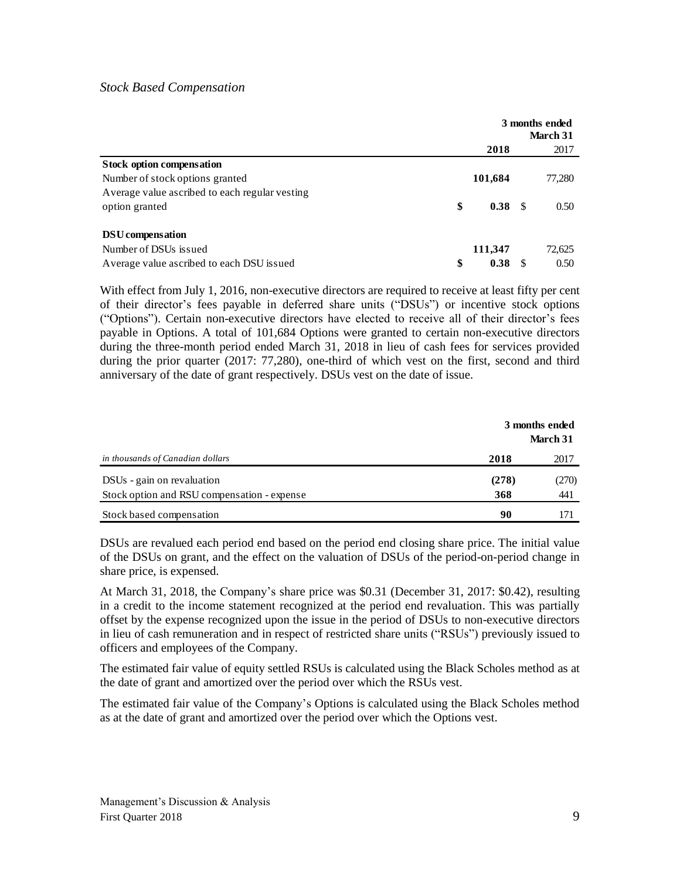#### *Stock Based Compensation*

|                                                 |            |      | 3 months ended<br>March 31 |
|-------------------------------------------------|------------|------|----------------------------|
|                                                 | 2018       |      | 2017                       |
| <b>Stock option compensation</b>                |            |      |                            |
| Number of stock options granted                 | 101,684    |      | 77,280                     |
| Average value as cribed to each regular vesting |            |      |                            |
| option granted                                  | \$<br>0.38 | - \$ | 0.50                       |
| DSU compensation                                |            |      |                            |
| Number of DSUs issued                           | 111,347    |      | 72,625                     |
| Average value ascribed to each DSU issued       | \$<br>0.38 | S    | 0.50                       |

With effect from July 1, 2016, non-executive directors are required to receive at least fifty per cent of their director's fees payable in deferred share units ("DSUs") or incentive stock options ("Options"). Certain non-executive directors have elected to receive all of their director's fees payable in Options. A total of 101,684 Options were granted to certain non-executive directors during the three-month period ended March 31, 2018 in lieu of cash fees for services provided during the prior quarter (2017: 77,280), one-third of which vest on the first, second and third anniversary of the date of grant respectively. DSUs vest on the date of issue.

|                                             | 3 months ended<br>March 31 |       |  |
|---------------------------------------------|----------------------------|-------|--|
| in thousands of Canadian dollars            | 2018                       | 2017  |  |
| DSUs - gain on revaluation                  | (278)                      | (270) |  |
| Stock option and RSU compensation - expense | 368                        | 441   |  |
| Stock based compensation                    | 90                         | 171   |  |

DSUs are revalued each period end based on the period end closing share price. The initial value of the DSUs on grant, and the effect on the valuation of DSUs of the period-on-period change in share price, is expensed.

At March 31, 2018, the Company's share price was \$0.31 (December 31, 2017: \$0.42), resulting in a credit to the income statement recognized at the period end revaluation. This was partially offset by the expense recognized upon the issue in the period of DSUs to non-executive directors in lieu of cash remuneration and in respect of restricted share units ("RSUs") previously issued to officers and employees of the Company.

The estimated fair value of equity settled RSUs is calculated using the Black Scholes method as at the date of grant and amortized over the period over which the RSUs vest.

The estimated fair value of the Company's Options is calculated using the Black Scholes method as at the date of grant and amortized over the period over which the Options vest.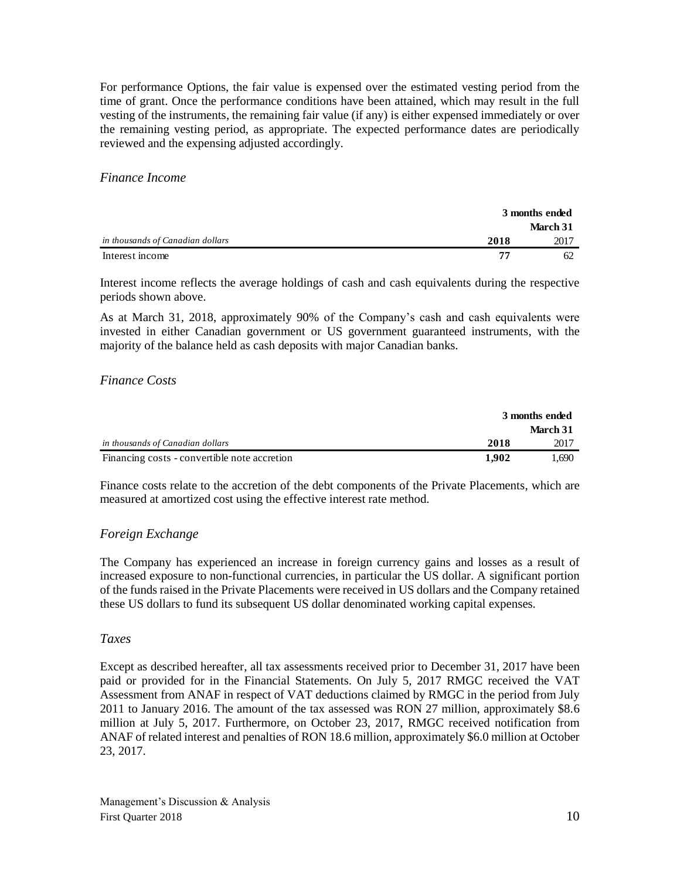For performance Options, the fair value is expensed over the estimated vesting period from the time of grant. Once the performance conditions have been attained, which may result in the full vesting of the instruments, the remaining fair value (if any) is either expensed immediately or over the remaining vesting period, as appropriate. The expected performance dates are periodically reviewed and the expensing adjusted accordingly.

#### *Finance Income*

|                                  |      | 3 months ended |  |
|----------------------------------|------|----------------|--|
|                                  |      | March 31       |  |
| in thousands of Canadian dollars | 2018 | 2017           |  |
| Interest income                  | 77   | 62             |  |

Interest income reflects the average holdings of cash and cash equivalents during the respective periods shown above.

As at March 31, 2018, approximately 90% of the Company's cash and cash equivalents were invested in either Canadian government or US government guaranteed instruments, with the majority of the balance held as cash deposits with major Canadian banks.

#### *Finance Costs*

|                                              | 3 months ended |          |
|----------------------------------------------|----------------|----------|
|                                              |                | March 31 |
| in thousands of Canadian dollars             | 2018           | 2017     |
| Financing costs - convertible note accretion | 1.902          | 1.690    |

Finance costs relate to the accretion of the debt components of the Private Placements, which are measured at amortized cost using the effective interest rate method.

### *Foreign Exchange*

The Company has experienced an increase in foreign currency gains and losses as a result of increased exposure to non-functional currencies, in particular the US dollar. A significant portion of the funds raised in the Private Placements were received in US dollars and the Company retained these US dollars to fund its subsequent US dollar denominated working capital expenses.

#### *Taxes*

Except as described hereafter, all tax assessments received prior to December 31, 2017 have been paid or provided for in the Financial Statements. On July 5, 2017 RMGC received the VAT Assessment from ANAF in respect of VAT deductions claimed by RMGC in the period from July 2011 to January 2016. The amount of the tax assessed was RON 27 million, approximately \$8.6 million at July 5, 2017. Furthermore, on October 23, 2017, RMGC received notification from ANAF of related interest and penalties of RON 18.6 million, approximately \$6.0 million at October 23, 2017.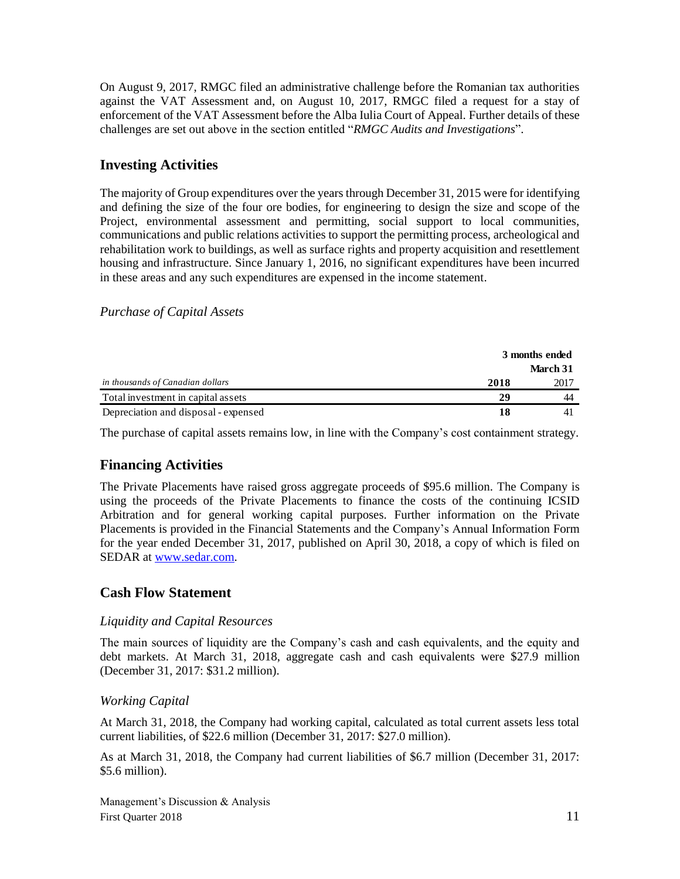On August 9, 2017, RMGC filed an administrative challenge before the Romanian tax authorities against the VAT Assessment and, on August 10, 2017, RMGC filed a request for a stay of enforcement of the VAT Assessment before the Alba Iulia Court of Appeal. Further details of these challenges are set out above in the section entitled "*RMGC Audits and Investigations*".

### **Investing Activities**

The majority of Group expenditures over the years through December 31, 2015 were for identifying and defining the size of the four ore bodies, for engineering to design the size and scope of the Project, environmental assessment and permitting, social support to local communities, communications and public relations activities to support the permitting process, archeological and rehabilitation work to buildings, as well as surface rights and property acquisition and resettlement housing and infrastructure. Since January 1, 2016, no significant expenditures have been incurred in these areas and any such expenditures are expensed in the income statement.

#### *Purchase of Capital Assets*

|                                      | 3 months ended |          |
|--------------------------------------|----------------|----------|
|                                      |                | March 31 |
| in thousands of Canadian dollars     | 2018           | 2017     |
| Total investment in capital assets   | 29             | 44       |
| Depreciation and disposal - expensed | 18             |          |
|                                      |                |          |

The purchase of capital assets remains low, in line with the Company's cost containment strategy.

## **Financing Activities**

The Private Placements have raised gross aggregate proceeds of \$95.6 million. The Company is using the proceeds of the Private Placements to finance the costs of the continuing ICSID Arbitration and for general working capital purposes. Further information on the Private Placements is provided in the Financial Statements and the Company's Annual Information Form for the year ended December 31, 2017, published on April 30, 2018, a copy of which is filed on SEDAR at [www.sedar.com.](http://www.sedar.com/)

### **Cash Flow Statement**

#### *Liquidity and Capital Resources*

The main sources of liquidity are the Company's cash and cash equivalents, and the equity and debt markets. At March 31, 2018, aggregate cash and cash equivalents were \$27.9 million (December 31, 2017: \$31.2 million).

#### *Working Capital*

At March 31, 2018, the Company had working capital, calculated as total current assets less total current liabilities, of \$22.6 million (December 31, 2017: \$27.0 million).

As at March 31, 2018, the Company had current liabilities of \$6.7 million (December 31, 2017: \$5.6 million).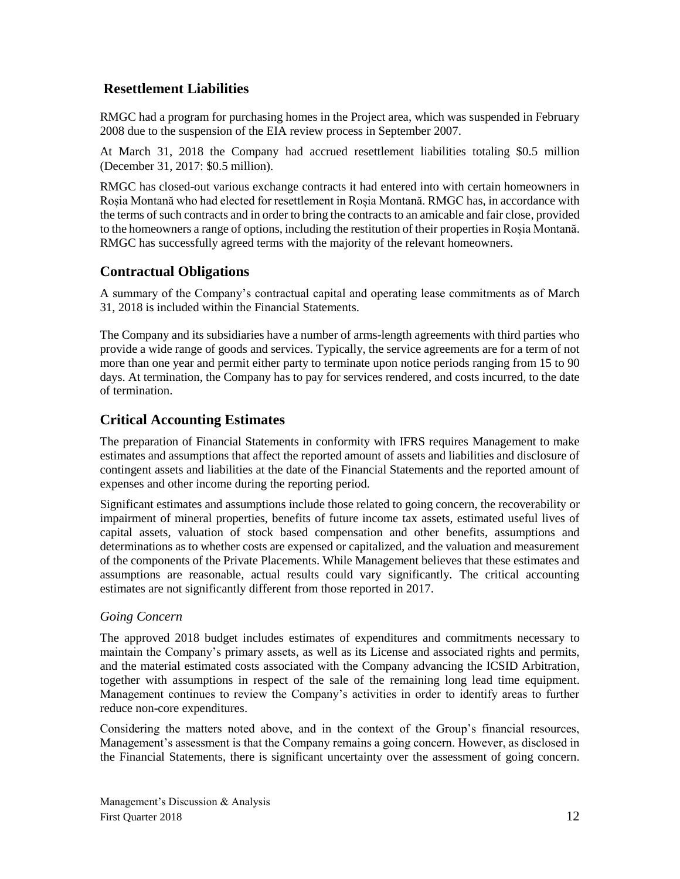### **Resettlement Liabilities**

RMGC had a program for purchasing homes in the Project area, which was suspended in February 2008 due to the suspension of the EIA review process in September 2007.

At March 31, 2018 the Company had accrued resettlement liabilities totaling \$0.5 million (December 31, 2017: \$0.5 million).

RMGC has closed-out various exchange contracts it had entered into with certain homeowners in Roșia Montană who had elected for resettlement in Roșia Montană. RMGC has, in accordance with the terms of such contracts and in order to bring the contracts to an amicable and fair close, provided to the homeowners a range of options, including the restitution of their properties in Roșia Montană. RMGC has successfully agreed terms with the majority of the relevant homeowners.

## **Contractual Obligations**

A summary of the Company's contractual capital and operating lease commitments as of March 31, 2018 is included within the Financial Statements.

The Company and its subsidiaries have a number of arms-length agreements with third parties who provide a wide range of goods and services. Typically, the service agreements are for a term of not more than one year and permit either party to terminate upon notice periods ranging from 15 to 90 days. At termination, the Company has to pay for services rendered, and costs incurred, to the date of termination.

## **Critical Accounting Estimates**

The preparation of Financial Statements in conformity with IFRS requires Management to make estimates and assumptions that affect the reported amount of assets and liabilities and disclosure of contingent assets and liabilities at the date of the Financial Statements and the reported amount of expenses and other income during the reporting period.

Significant estimates and assumptions include those related to going concern, the recoverability or impairment of mineral properties, benefits of future income tax assets, estimated useful lives of capital assets, valuation of stock based compensation and other benefits, assumptions and determinations as to whether costs are expensed or capitalized, and the valuation and measurement of the components of the Private Placements. While Management believes that these estimates and assumptions are reasonable, actual results could vary significantly. The critical accounting estimates are not significantly different from those reported in 2017.

### *Going Concern*

The approved 2018 budget includes estimates of expenditures and commitments necessary to maintain the Company's primary assets, as well as its License and associated rights and permits, and the material estimated costs associated with the Company advancing the ICSID Arbitration, together with assumptions in respect of the sale of the remaining long lead time equipment. Management continues to review the Company's activities in order to identify areas to further reduce non-core expenditures.

Considering the matters noted above, and in the context of the Group's financial resources, Management's assessment is that the Company remains a going concern. However, as disclosed in the Financial Statements, there is significant uncertainty over the assessment of going concern.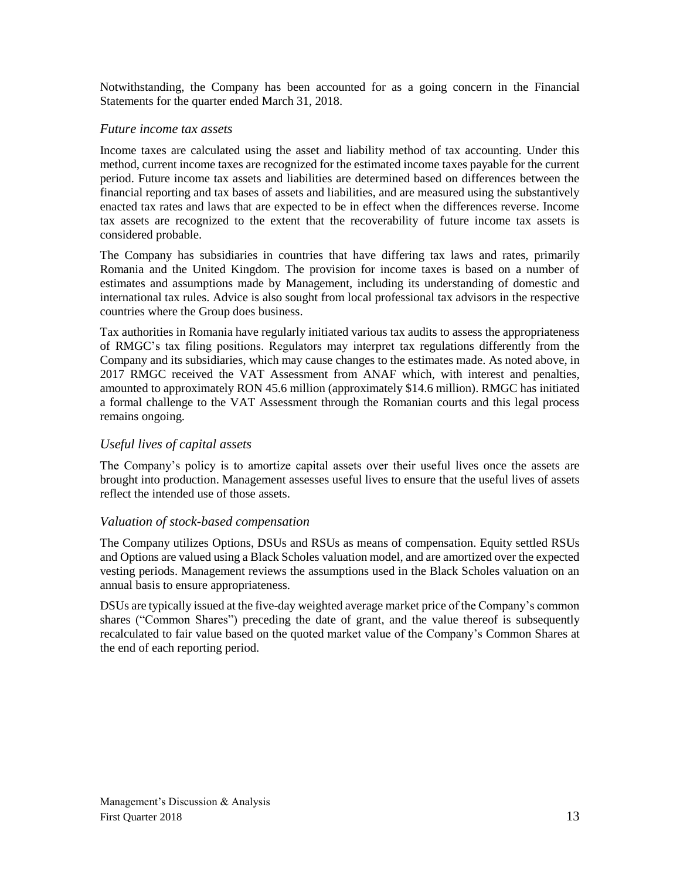Notwithstanding, the Company has been accounted for as a going concern in the Financial Statements for the quarter ended March 31, 2018.

#### *Future income tax assets*

Income taxes are calculated using the asset and liability method of tax accounting. Under this method, current income taxes are recognized for the estimated income taxes payable for the current period. Future income tax assets and liabilities are determined based on differences between the financial reporting and tax bases of assets and liabilities, and are measured using the substantively enacted tax rates and laws that are expected to be in effect when the differences reverse. Income tax assets are recognized to the extent that the recoverability of future income tax assets is considered probable.

The Company has subsidiaries in countries that have differing tax laws and rates, primarily Romania and the United Kingdom. The provision for income taxes is based on a number of estimates and assumptions made by Management, including its understanding of domestic and international tax rules. Advice is also sought from local professional tax advisors in the respective countries where the Group does business.

Tax authorities in Romania have regularly initiated various tax audits to assess the appropriateness of RMGC's tax filing positions. Regulators may interpret tax regulations differently from the Company and its subsidiaries, which may cause changes to the estimates made. As noted above, in 2017 RMGC received the VAT Assessment from ANAF which, with interest and penalties, amounted to approximately RON 45.6 million (approximately \$14.6 million). RMGC has initiated a formal challenge to the VAT Assessment through the Romanian courts and this legal process remains ongoing.

#### *Useful lives of capital assets*

The Company's policy is to amortize capital assets over their useful lives once the assets are brought into production. Management assesses useful lives to ensure that the useful lives of assets reflect the intended use of those assets.

#### *Valuation of stock-based compensation*

The Company utilizes Options, DSUs and RSUs as means of compensation. Equity settled RSUs and Options are valued using a Black Scholes valuation model, and are amortized over the expected vesting periods. Management reviews the assumptions used in the Black Scholes valuation on an annual basis to ensure appropriateness.

DSUs are typically issued at the five-day weighted average market price of the Company's common shares ("Common Shares") preceding the date of grant, and the value thereof is subsequently recalculated to fair value based on the quoted market value of the Company's Common Shares at the end of each reporting period.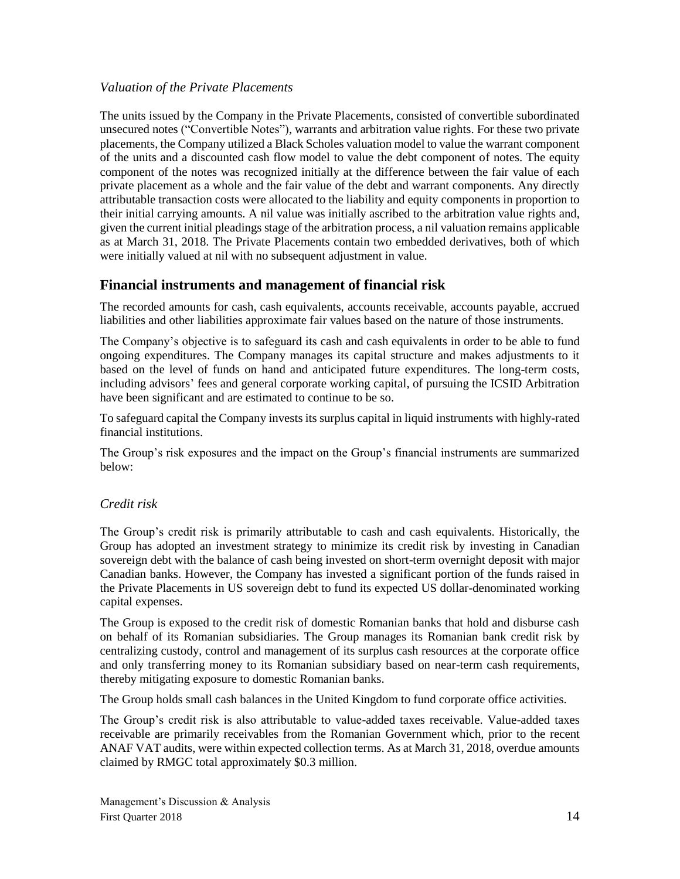#### *Valuation of the Private Placements*

The units issued by the Company in the Private Placements, consisted of convertible subordinated unsecured notes ("Convertible Notes"), warrants and arbitration value rights. For these two private placements, the Company utilized a Black Scholes valuation model to value the warrant component of the units and a discounted cash flow model to value the debt component of notes. The equity component of the notes was recognized initially at the difference between the fair value of each private placement as a whole and the fair value of the debt and warrant components. Any directly attributable transaction costs were allocated to the liability and equity components in proportion to their initial carrying amounts. A nil value was initially ascribed to the arbitration value rights and, given the current initial pleadings stage of the arbitration process, a nil valuation remains applicable as at March 31, 2018. The Private Placements contain two embedded derivatives, both of which were initially valued at nil with no subsequent adjustment in value.

### **Financial instruments and management of financial risk**

The recorded amounts for cash, cash equivalents, accounts receivable, accounts payable, accrued liabilities and other liabilities approximate fair values based on the nature of those instruments.

The Company's objective is to safeguard its cash and cash equivalents in order to be able to fund ongoing expenditures. The Company manages its capital structure and makes adjustments to it based on the level of funds on hand and anticipated future expenditures. The long-term costs, including advisors' fees and general corporate working capital, of pursuing the ICSID Arbitration have been significant and are estimated to continue to be so.

To safeguard capital the Company invests its surplus capital in liquid instruments with highly-rated financial institutions.

The Group's risk exposures and the impact on the Group's financial instruments are summarized below:

#### *Credit risk*

The Group's credit risk is primarily attributable to cash and cash equivalents. Historically, the Group has adopted an investment strategy to minimize its credit risk by investing in Canadian sovereign debt with the balance of cash being invested on short-term overnight deposit with major Canadian banks. However, the Company has invested a significant portion of the funds raised in the Private Placements in US sovereign debt to fund its expected US dollar-denominated working capital expenses.

The Group is exposed to the credit risk of domestic Romanian banks that hold and disburse cash on behalf of its Romanian subsidiaries. The Group manages its Romanian bank credit risk by centralizing custody, control and management of its surplus cash resources at the corporate office and only transferring money to its Romanian subsidiary based on near-term cash requirements, thereby mitigating exposure to domestic Romanian banks.

The Group holds small cash balances in the United Kingdom to fund corporate office activities.

The Group's credit risk is also attributable to value-added taxes receivable. Value-added taxes receivable are primarily receivables from the Romanian Government which, prior to the recent ANAF VAT audits, were within expected collection terms. As at March 31, 2018, overdue amounts claimed by RMGC total approximately \$0.3 million.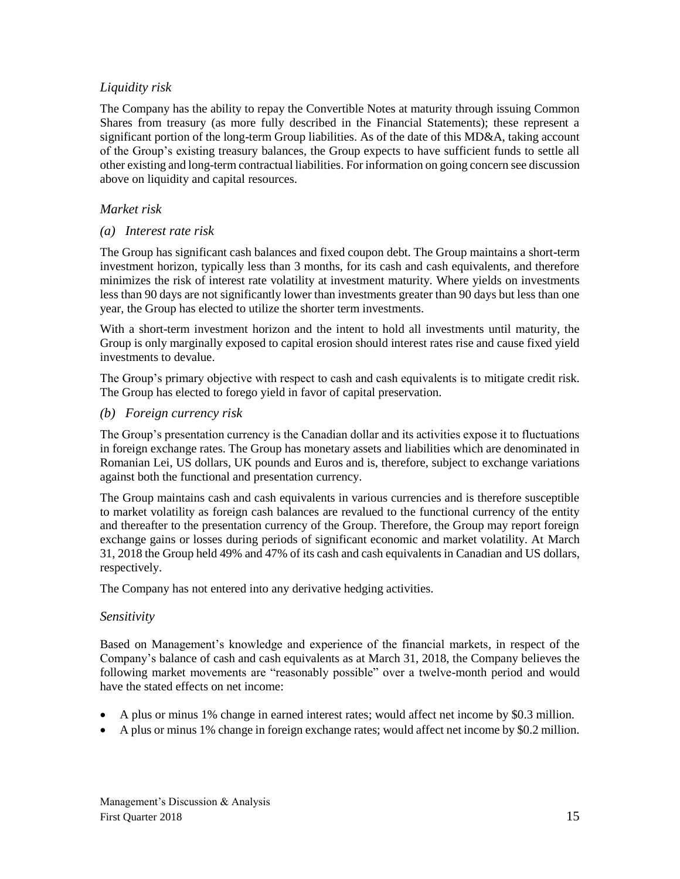### *Liquidity risk*

The Company has the ability to repay the Convertible Notes at maturity through issuing Common Shares from treasury (as more fully described in the Financial Statements); these represent a significant portion of the long-term Group liabilities. As of the date of this MD&A, taking account of the Group's existing treasury balances, the Group expects to have sufficient funds to settle all other existing and long-term contractual liabilities. For information on going concern see discussion above on liquidity and capital resources.

### *Market risk*

#### *(a) Interest rate risk*

The Group has significant cash balances and fixed coupon debt. The Group maintains a short-term investment horizon, typically less than 3 months, for its cash and cash equivalents, and therefore minimizes the risk of interest rate volatility at investment maturity. Where yields on investments less than 90 days are not significantly lower than investments greater than 90 days but less than one year, the Group has elected to utilize the shorter term investments.

With a short-term investment horizon and the intent to hold all investments until maturity, the Group is only marginally exposed to capital erosion should interest rates rise and cause fixed yield investments to devalue.

The Group's primary objective with respect to cash and cash equivalents is to mitigate credit risk. The Group has elected to forego yield in favor of capital preservation.

#### *(b) Foreign currency risk*

The Group's presentation currency is the Canadian dollar and its activities expose it to fluctuations in foreign exchange rates. The Group has monetary assets and liabilities which are denominated in Romanian Lei, US dollars, UK pounds and Euros and is, therefore, subject to exchange variations against both the functional and presentation currency.

The Group maintains cash and cash equivalents in various currencies and is therefore susceptible to market volatility as foreign cash balances are revalued to the functional currency of the entity and thereafter to the presentation currency of the Group. Therefore, the Group may report foreign exchange gains or losses during periods of significant economic and market volatility. At March 31, 2018 the Group held 49% and 47% of its cash and cash equivalents in Canadian and US dollars, respectively.

The Company has not entered into any derivative hedging activities.

#### *Sensitivity*

Based on Management's knowledge and experience of the financial markets, in respect of the Company's balance of cash and cash equivalents as at March 31, 2018, the Company believes the following market movements are "reasonably possible" over a twelve-month period and would have the stated effects on net income:

- A plus or minus 1% change in earned interest rates; would affect net income by \$0.3 million.
- A plus or minus 1% change in foreign exchange rates; would affect net income by \$0.2 million.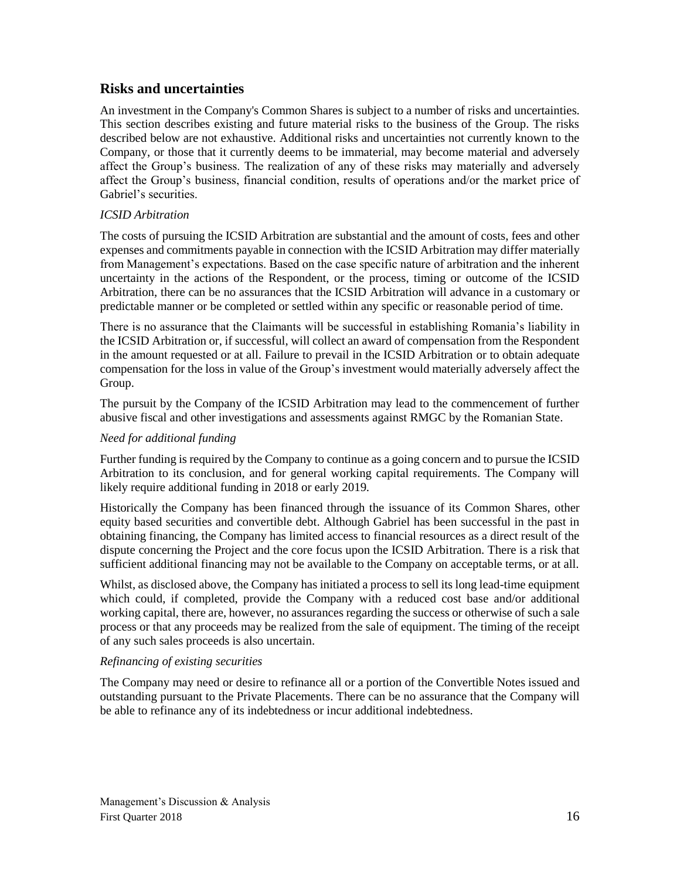### **Risks and uncertainties**

An investment in the Company's Common Shares is subject to a number of risks and uncertainties. This section describes existing and future material risks to the business of the Group. The risks described below are not exhaustive. Additional risks and uncertainties not currently known to the Company, or those that it currently deems to be immaterial, may become material and adversely affect the Group's business. The realization of any of these risks may materially and adversely affect the Group's business, financial condition, results of operations and/or the market price of Gabriel's securities.

#### *ICSID Arbitration*

The costs of pursuing the ICSID Arbitration are substantial and the amount of costs, fees and other expenses and commitments payable in connection with the ICSID Arbitration may differ materially from Management's expectations. Based on the case specific nature of arbitration and the inherent uncertainty in the actions of the Respondent, or the process, timing or outcome of the ICSID Arbitration, there can be no assurances that the ICSID Arbitration will advance in a customary or predictable manner or be completed or settled within any specific or reasonable period of time.

There is no assurance that the Claimants will be successful in establishing Romania's liability in the ICSID Arbitration or, if successful, will collect an award of compensation from the Respondent in the amount requested or at all. Failure to prevail in the ICSID Arbitration or to obtain adequate compensation for the loss in value of the Group's investment would materially adversely affect the Group.

The pursuit by the Company of the ICSID Arbitration may lead to the commencement of further abusive fiscal and other investigations and assessments against RMGC by the Romanian State.

#### *Need for additional funding*

Further funding is required by the Company to continue as a going concern and to pursue the ICSID Arbitration to its conclusion, and for general working capital requirements. The Company will likely require additional funding in 2018 or early 2019.

Historically the Company has been financed through the issuance of its Common Shares, other equity based securities and convertible debt. Although Gabriel has been successful in the past in obtaining financing, the Company has limited access to financial resources as a direct result of the dispute concerning the Project and the core focus upon the ICSID Arbitration. There is a risk that sufficient additional financing may not be available to the Company on acceptable terms, or at all.

Whilst, as disclosed above, the Company has initiated a process to sell its long lead-time equipment which could, if completed, provide the Company with a reduced cost base and/or additional working capital, there are, however, no assurances regarding the success or otherwise of such a sale process or that any proceeds may be realized from the sale of equipment. The timing of the receipt of any such sales proceeds is also uncertain.

#### *Refinancing of existing securities*

The Company may need or desire to refinance all or a portion of the Convertible Notes issued and outstanding pursuant to the Private Placements. There can be no assurance that the Company will be able to refinance any of its indebtedness or incur additional indebtedness.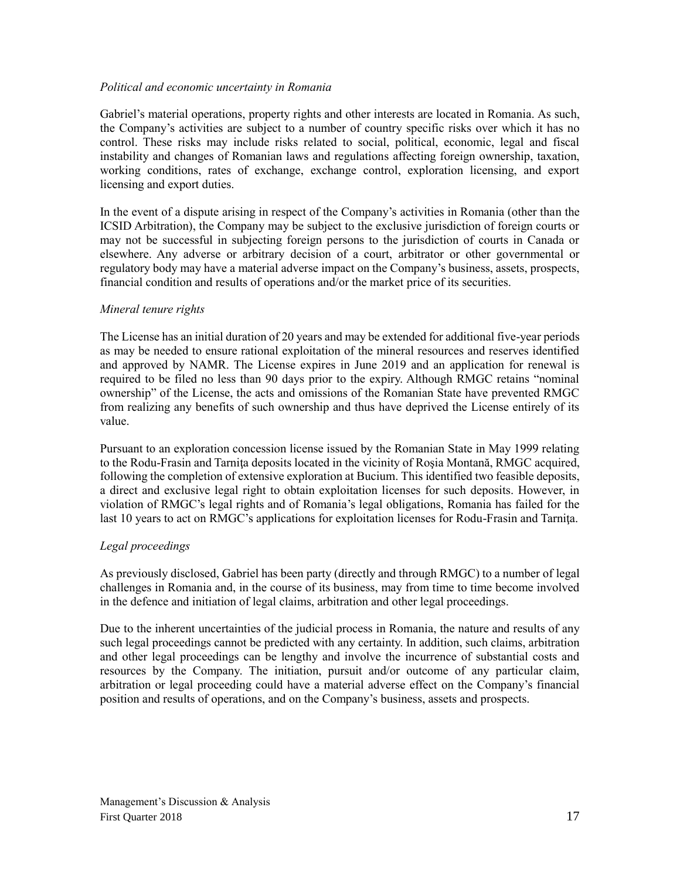#### *Political and economic uncertainty in Romania*

Gabriel's material operations, property rights and other interests are located in Romania. As such, the Company's activities are subject to a number of country specific risks over which it has no control. These risks may include risks related to social, political, economic, legal and fiscal instability and changes of Romanian laws and regulations affecting foreign ownership, taxation, working conditions, rates of exchange, exchange control, exploration licensing, and export licensing and export duties.

In the event of a dispute arising in respect of the Company's activities in Romania (other than the ICSID Arbitration), the Company may be subject to the exclusive jurisdiction of foreign courts or may not be successful in subjecting foreign persons to the jurisdiction of courts in Canada or elsewhere. Any adverse or arbitrary decision of a court, arbitrator or other governmental or regulatory body may have a material adverse impact on the Company's business, assets, prospects, financial condition and results of operations and/or the market price of its securities.

#### *Mineral tenure rights*

The License has an initial duration of 20 years and may be extended for additional five-year periods as may be needed to ensure rational exploitation of the mineral resources and reserves identified and approved by NAMR. The License expires in June 2019 and an application for renewal is required to be filed no less than 90 days prior to the expiry. Although RMGC retains "nominal ownership" of the License, the acts and omissions of the Romanian State have prevented RMGC from realizing any benefits of such ownership and thus have deprived the License entirely of its value.

Pursuant to an exploration concession license issued by the Romanian State in May 1999 relating to the Rodu-Frasin and Tarnita deposits located in the vicinity of Rosia Montană, RMGC acquired, following the completion of extensive exploration at Bucium. This identified two feasible deposits, a direct and exclusive legal right to obtain exploitation licenses for such deposits. However, in violation of RMGC's legal rights and of Romania's legal obligations, Romania has failed for the last 10 years to act on RMGC's applications for exploitation licenses for Rodu-Frasin and Tarnita.

#### *Legal proceedings*

As previously disclosed, Gabriel has been party (directly and through RMGC) to a number of legal challenges in Romania and, in the course of its business, may from time to time become involved in the defence and initiation of legal claims, arbitration and other legal proceedings.

Due to the inherent uncertainties of the judicial process in Romania, the nature and results of any such legal proceedings cannot be predicted with any certainty. In addition, such claims, arbitration and other legal proceedings can be lengthy and involve the incurrence of substantial costs and resources by the Company. The initiation, pursuit and/or outcome of any particular claim, arbitration or legal proceeding could have a material adverse effect on the Company's financial position and results of operations, and on the Company's business, assets and prospects.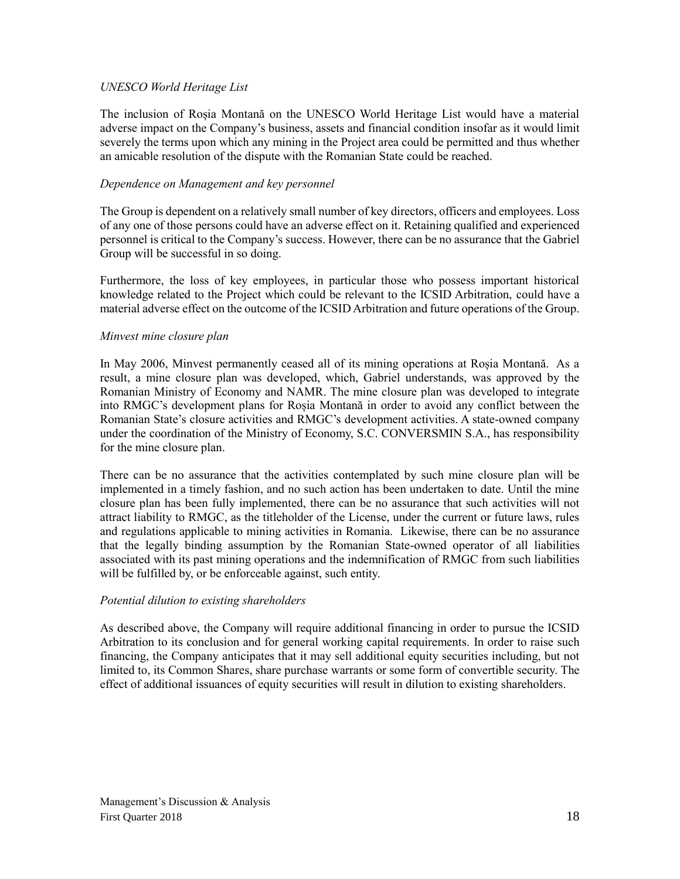#### *UNESCO World Heritage List*

The inclusion of Roșia Montană on the UNESCO World Heritage List would have a material adverse impact on the Company's business, assets and financial condition insofar as it would limit severely the terms upon which any mining in the Project area could be permitted and thus whether an amicable resolution of the dispute with the Romanian State could be reached.

#### *Dependence on Management and key personnel*

The Group is dependent on a relatively small number of key directors, officers and employees. Loss of any one of those persons could have an adverse effect on it. Retaining qualified and experienced personnel is critical to the Company's success. However, there can be no assurance that the Gabriel Group will be successful in so doing.

Furthermore, the loss of key employees, in particular those who possess important historical knowledge related to the Project which could be relevant to the ICSID Arbitration, could have a material adverse effect on the outcome of the ICSID Arbitration and future operations of the Group.

#### *Minvest mine closure plan*

In May 2006, Minvest permanently ceased all of its mining operations at Roșia Montană. As a result, a mine closure plan was developed, which, Gabriel understands, was approved by the Romanian Ministry of Economy and NAMR. The mine closure plan was developed to integrate into RMGC's development plans for Roșia Montană in order to avoid any conflict between the Romanian State's closure activities and RMGC's development activities. A state-owned company under the coordination of the Ministry of Economy, S.C. CONVERSMIN S.A., has responsibility for the mine closure plan.

There can be no assurance that the activities contemplated by such mine closure plan will be implemented in a timely fashion, and no such action has been undertaken to date. Until the mine closure plan has been fully implemented, there can be no assurance that such activities will not attract liability to RMGC, as the titleholder of the License, under the current or future laws, rules and regulations applicable to mining activities in Romania. Likewise, there can be no assurance that the legally binding assumption by the Romanian State-owned operator of all liabilities associated with its past mining operations and the indemnification of RMGC from such liabilities will be fulfilled by, or be enforceable against, such entity.

#### *Potential dilution to existing shareholders*

As described above, the Company will require additional financing in order to pursue the ICSID Arbitration to its conclusion and for general working capital requirements. In order to raise such financing, the Company anticipates that it may sell additional equity securities including, but not limited to, its Common Shares, share purchase warrants or some form of convertible security. The effect of additional issuances of equity securities will result in dilution to existing shareholders.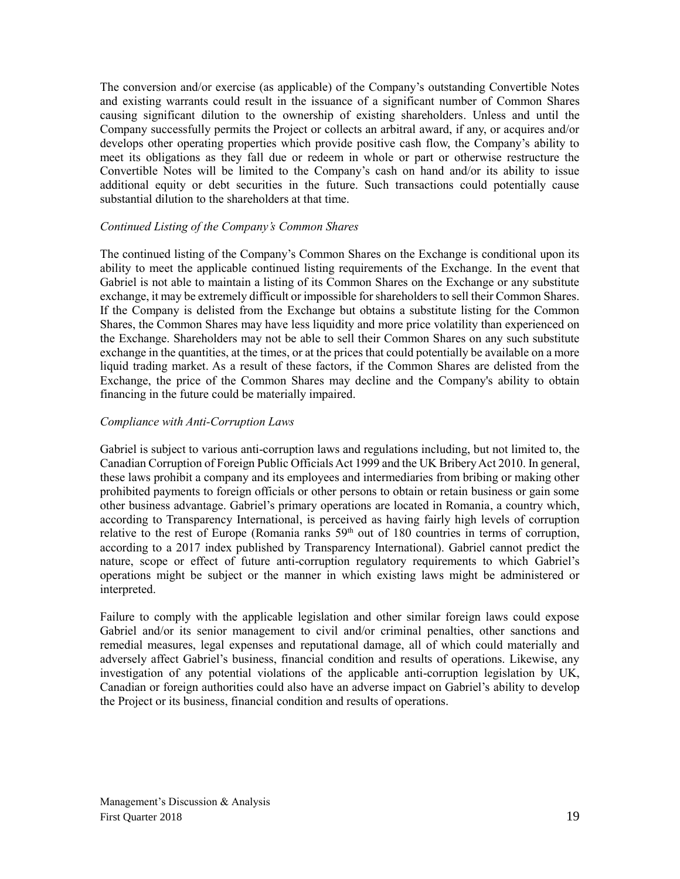The conversion and/or exercise (as applicable) of the Company's outstanding Convertible Notes and existing warrants could result in the issuance of a significant number of Common Shares causing significant dilution to the ownership of existing shareholders. Unless and until the Company successfully permits the Project or collects an arbitral award, if any, or acquires and/or develops other operating properties which provide positive cash flow, the Company's ability to meet its obligations as they fall due or redeem in whole or part or otherwise restructure the Convertible Notes will be limited to the Company's cash on hand and/or its ability to issue additional equity or debt securities in the future. Such transactions could potentially cause substantial dilution to the shareholders at that time.

#### *Continued Listing of the Company's Common Shares*

The continued listing of the Company's Common Shares on the Exchange is conditional upon its ability to meet the applicable continued listing requirements of the Exchange. In the event that Gabriel is not able to maintain a listing of its Common Shares on the Exchange or any substitute exchange, it may be extremely difficult or impossible for shareholders to sell their Common Shares. If the Company is delisted from the Exchange but obtains a substitute listing for the Common Shares, the Common Shares may have less liquidity and more price volatility than experienced on the Exchange. Shareholders may not be able to sell their Common Shares on any such substitute exchange in the quantities, at the times, or at the prices that could potentially be available on a more liquid trading market. As a result of these factors, if the Common Shares are delisted from the Exchange, the price of the Common Shares may decline and the Company's ability to obtain financing in the future could be materially impaired.

#### *Compliance with Anti-Corruption Laws*

Gabriel is subject to various anti-corruption laws and regulations including, but not limited to, the Canadian Corruption of Foreign Public Officials Act 1999 and the UK Bribery Act 2010. In general, these laws prohibit a company and its employees and intermediaries from bribing or making other prohibited payments to foreign officials or other persons to obtain or retain business or gain some other business advantage. Gabriel's primary operations are located in Romania, a country which, according to Transparency International, is perceived as having fairly high levels of corruption relative to the rest of Europe (Romania ranks 59<sup>th</sup> out of 180 countries in terms of corruption, according to a 2017 index published by Transparency International). Gabriel cannot predict the nature, scope or effect of future anti-corruption regulatory requirements to which Gabriel's operations might be subject or the manner in which existing laws might be administered or interpreted.

Failure to comply with the applicable legislation and other similar foreign laws could expose Gabriel and/or its senior management to civil and/or criminal penalties, other sanctions and remedial measures, legal expenses and reputational damage, all of which could materially and adversely affect Gabriel's business, financial condition and results of operations. Likewise, any investigation of any potential violations of the applicable anti-corruption legislation by UK, Canadian or foreign authorities could also have an adverse impact on Gabriel's ability to develop the Project or its business, financial condition and results of operations.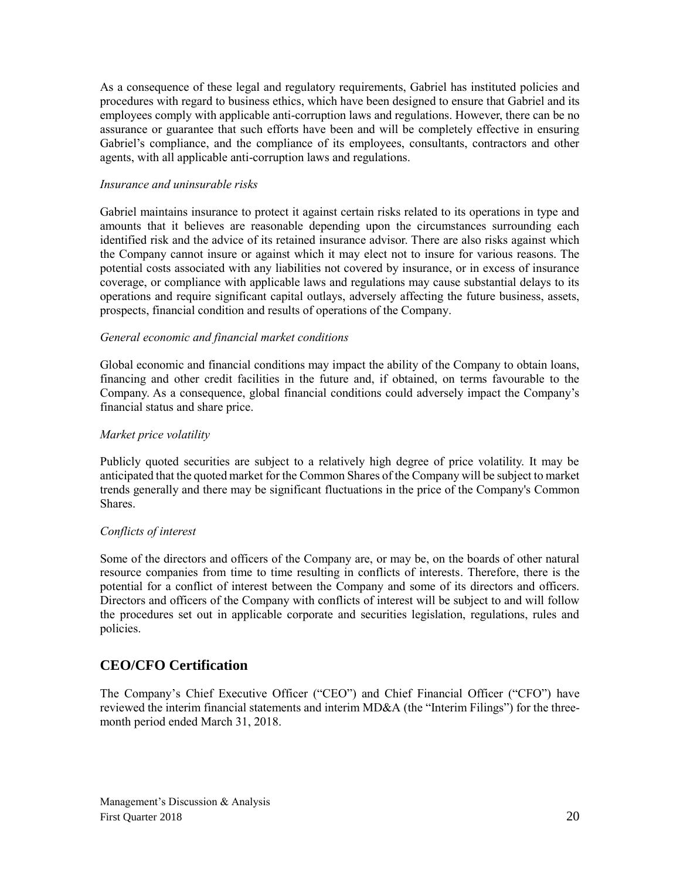As a consequence of these legal and regulatory requirements, Gabriel has instituted policies and procedures with regard to business ethics, which have been designed to ensure that Gabriel and its employees comply with applicable anti-corruption laws and regulations. However, there can be no assurance or guarantee that such efforts have been and will be completely effective in ensuring Gabriel's compliance, and the compliance of its employees, consultants, contractors and other agents, with all applicable anti-corruption laws and regulations.

#### *Insurance and uninsurable risks*

Gabriel maintains insurance to protect it against certain risks related to its operations in type and amounts that it believes are reasonable depending upon the circumstances surrounding each identified risk and the advice of its retained insurance advisor. There are also risks against which the Company cannot insure or against which it may elect not to insure for various reasons. The potential costs associated with any liabilities not covered by insurance, or in excess of insurance coverage, or compliance with applicable laws and regulations may cause substantial delays to its operations and require significant capital outlays, adversely affecting the future business, assets, prospects, financial condition and results of operations of the Company.

#### *General economic and financial market conditions*

Global economic and financial conditions may impact the ability of the Company to obtain loans, financing and other credit facilities in the future and, if obtained, on terms favourable to the Company. As a consequence, global financial conditions could adversely impact the Company's financial status and share price.

#### *Market price volatility*

Publicly quoted securities are subject to a relatively high degree of price volatility. It may be anticipated that the quoted market for the Common Shares of the Company will be subject to market trends generally and there may be significant fluctuations in the price of the Company's Common **Shares**.

#### *Conflicts of interest*

Some of the directors and officers of the Company are, or may be, on the boards of other natural resource companies from time to time resulting in conflicts of interests. Therefore, there is the potential for a conflict of interest between the Company and some of its directors and officers. Directors and officers of the Company with conflicts of interest will be subject to and will follow the procedures set out in applicable corporate and securities legislation, regulations, rules and policies.

## **CEO/CFO Certification**

The Company's Chief Executive Officer ("CEO") and Chief Financial Officer ("CFO") have reviewed the interim financial statements and interim MD&A (the "Interim Filings") for the threemonth period ended March 31, 2018.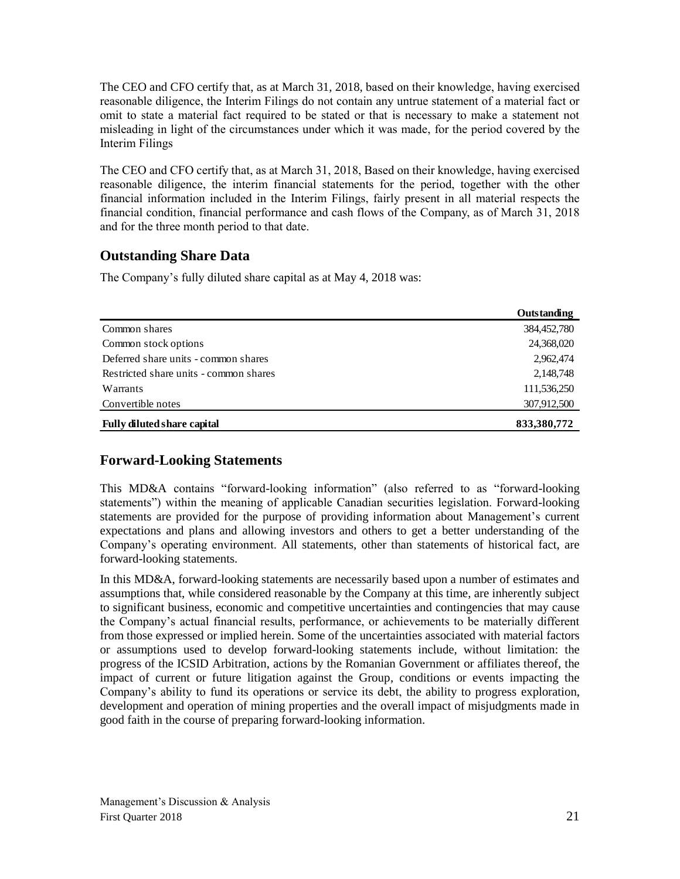The CEO and CFO certify that, as at March 31, 2018, based on their knowledge, having exercised reasonable diligence, the Interim Filings do not contain any untrue statement of a material fact or omit to state a material fact required to be stated or that is necessary to make a statement not misleading in light of the circumstances under which it was made, for the period covered by the Interim Filings

The CEO and CFO certify that, as at March 31, 2018, Based on their knowledge, having exercised reasonable diligence, the interim financial statements for the period, together with the other financial information included in the Interim Filings, fairly present in all material respects the financial condition, financial performance and cash flows of the Company, as of March 31, 2018 and for the three month period to that date.

## **Outstanding Share Data**

The Company's fully diluted share capital as at May 4, 2018 was:

|                                        | Outstanding |
|----------------------------------------|-------------|
| Common shares                          | 384,452,780 |
| Common stock options                   | 24,368,020  |
| Deferred share units - common shares   | 2,962,474   |
| Restricted share units - common shares | 2,148,748   |
| Warrants                               | 111,536,250 |
| Convertible notes                      | 307,912,500 |
| <b>Fully diluted share capital</b>     | 833,380,772 |

## **Forward-Looking Statements**

This MD&A contains "forward-looking information" (also referred to as "forward-looking statements") within the meaning of applicable Canadian securities legislation. Forward-looking statements are provided for the purpose of providing information about Management's current expectations and plans and allowing investors and others to get a better understanding of the Company's operating environment. All statements, other than statements of historical fact, are forward-looking statements.

In this MD&A, forward-looking statements are necessarily based upon a number of estimates and assumptions that, while considered reasonable by the Company at this time, are inherently subject to significant business, economic and competitive uncertainties and contingencies that may cause the Company's actual financial results, performance, or achievements to be materially different from those expressed or implied herein. Some of the uncertainties associated with material factors or assumptions used to develop forward-looking statements include, without limitation: the progress of the ICSID Arbitration, actions by the Romanian Government or affiliates thereof, the impact of current or future litigation against the Group, conditions or events impacting the Company's ability to fund its operations or service its debt, the ability to progress exploration, development and operation of mining properties and the overall impact of misjudgments made in good faith in the course of preparing forward-looking information.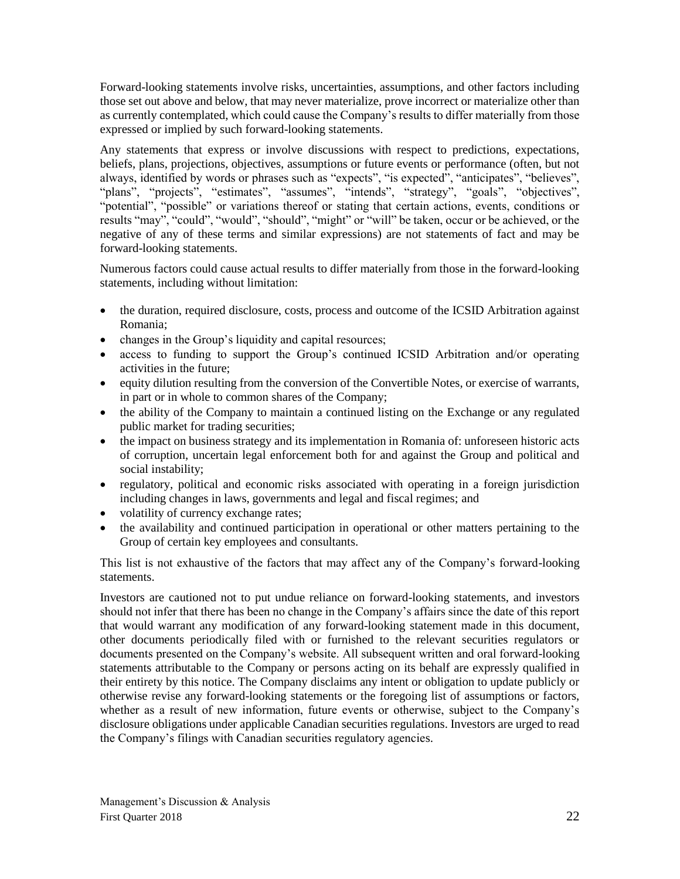Forward-looking statements involve risks, uncertainties, assumptions, and other factors including those set out above and below, that may never materialize, prove incorrect or materialize other than as currently contemplated, which could cause the Company's results to differ materially from those expressed or implied by such forward-looking statements.

Any statements that express or involve discussions with respect to predictions, expectations, beliefs, plans, projections, objectives, assumptions or future events or performance (often, but not always, identified by words or phrases such as "expects", "is expected", "anticipates", "believes", "plans", "projects", "estimates", "assumes", "intends", "strategy", "goals", "objectives", "potential", "possible" or variations thereof or stating that certain actions, events, conditions or results "may", "could", "would", "should", "might" or "will" be taken, occur or be achieved, or the negative of any of these terms and similar expressions) are not statements of fact and may be forward-looking statements.

Numerous factors could cause actual results to differ materially from those in the forward-looking statements, including without limitation:

- the duration, required disclosure, costs, process and outcome of the ICSID Arbitration against Romania;
- changes in the Group's liquidity and capital resources;
- access to funding to support the Group's continued ICSID Arbitration and/or operating activities in the future;
- equity dilution resulting from the conversion of the Convertible Notes, or exercise of warrants, in part or in whole to common shares of the Company;
- the ability of the Company to maintain a continued listing on the Exchange or any regulated public market for trading securities;
- the impact on business strategy and its implementation in Romania of: unforeseen historic acts of corruption, uncertain legal enforcement both for and against the Group and political and social instability;
- regulatory, political and economic risks associated with operating in a foreign jurisdiction including changes in laws, governments and legal and fiscal regimes; and
- volatility of currency exchange rates;
- the availability and continued participation in operational or other matters pertaining to the Group of certain key employees and consultants.

This list is not exhaustive of the factors that may affect any of the Company's forward-looking statements.

Investors are cautioned not to put undue reliance on forward-looking statements, and investors should not infer that there has been no change in the Company's affairs since the date of this report that would warrant any modification of any forward-looking statement made in this document, other documents periodically filed with or furnished to the relevant securities regulators or documents presented on the Company's website. All subsequent written and oral forward-looking statements attributable to the Company or persons acting on its behalf are expressly qualified in their entirety by this notice. The Company disclaims any intent or obligation to update publicly or otherwise revise any forward-looking statements or the foregoing list of assumptions or factors, whether as a result of new information, future events or otherwise, subject to the Company's disclosure obligations under applicable Canadian securities regulations. Investors are urged to read the Company's filings with Canadian securities regulatory agencies.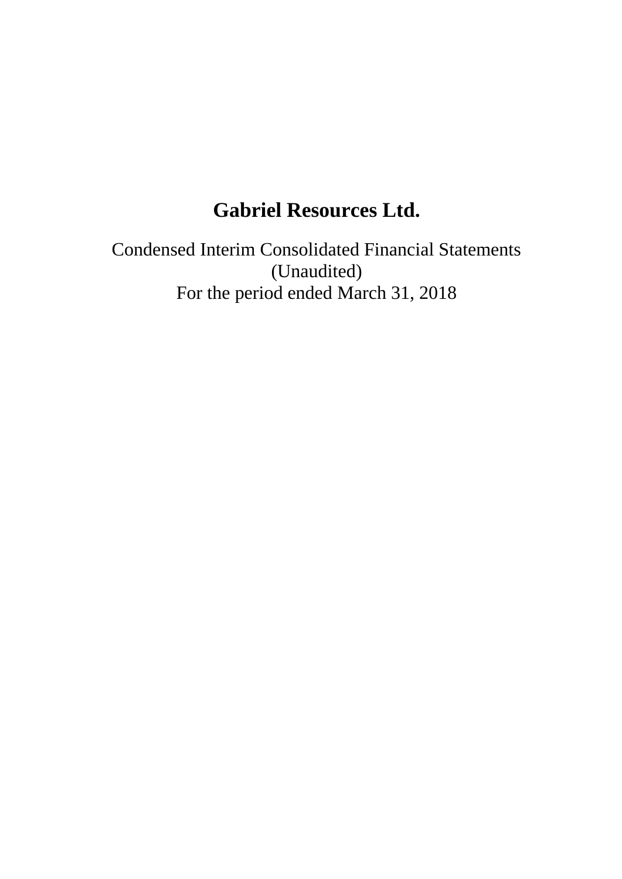# **Gabriel Resources Ltd.**

Condensed Interim Consolidated Financial Statements (Unaudited) For the period ended March 31, 2018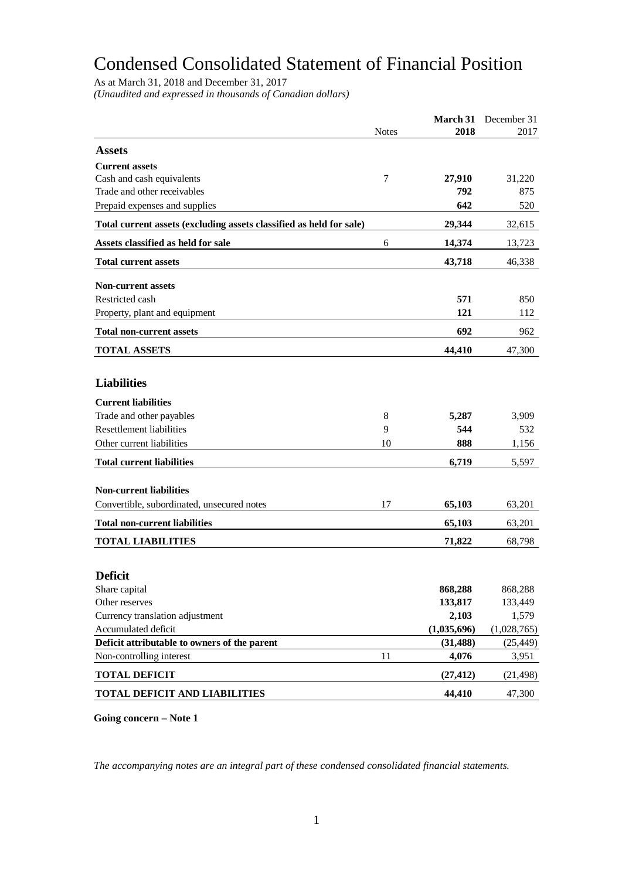# Condensed Consolidated Statement of Financial Position

As at March 31, 2018 and December 31, 2017

*(Unaudited and expressed in thousands of Canadian dollars)*

|                                                                     |              |             | March 31 December 31 |
|---------------------------------------------------------------------|--------------|-------------|----------------------|
|                                                                     | <b>Notes</b> | 2018        | 2017                 |
| <b>Assets</b>                                                       |              |             |                      |
| <b>Current assets</b>                                               |              |             |                      |
| Cash and cash equivalents                                           | 7            | 27,910      | 31,220               |
| Trade and other receivables                                         |              | 792         | 875                  |
| Prepaid expenses and supplies                                       |              | 642         | 520                  |
| Total current assets (excluding assets classified as held for sale) |              | 29,344      | 32,615               |
| Assets classified as held for sale                                  | 6            | 14,374      | 13,723               |
| <b>Total current assets</b>                                         |              | 43,718      | 46,338               |
|                                                                     |              |             |                      |
| <b>Non-current assets</b>                                           |              |             |                      |
| Restricted cash                                                     |              | 571         | 850                  |
| Property, plant and equipment                                       |              | 121         | 112                  |
| <b>Total non-current assets</b>                                     |              | 692         | 962                  |
| <b>TOTAL ASSETS</b>                                                 |              | 44,410      | 47,300               |
|                                                                     |              |             |                      |
| <b>Liabilities</b>                                                  |              |             |                      |
| <b>Current liabilities</b>                                          |              |             |                      |
| Trade and other payables                                            | 8            | 5,287       | 3,909                |
| <b>Resettlement liabilities</b>                                     | 9            | 544         | 532                  |
| Other current liabilities                                           | 10           | 888         | 1,156                |
| <b>Total current liabilities</b>                                    |              | 6,719       | 5,597                |
|                                                                     |              |             |                      |
| <b>Non-current liabilities</b>                                      |              |             |                      |
| Convertible, subordinated, unsecured notes                          | 17           | 65,103      | 63,201               |
| <b>Total non-current liabilities</b>                                |              | 65,103      | 63,201               |
| <b>TOTAL LIABILITIES</b>                                            |              | 71,822      | 68,798               |
|                                                                     |              |             |                      |
| <b>Deficit</b>                                                      |              |             |                      |
| Share capital                                                       |              | 868,288     | 868,288              |
| Other reserves                                                      |              | 133,817     | 133,449              |
| Currency translation adjustment                                     |              | 2,103       | 1,579                |
| Accumulated deficit                                                 |              | (1,035,696) | (1,028,765)          |
| Deficit attributable to owners of the parent                        |              | (31, 488)   | (25, 449)            |
| Non-controlling interest                                            | 11           | 4,076       | 3,951                |
| <b>TOTAL DEFICIT</b>                                                |              | (27, 412)   | (21, 498)            |
| <b>TOTAL DEFICIT AND LIABILITIES</b>                                |              | 44,410      | 47,300               |

**Going concern – Note 1**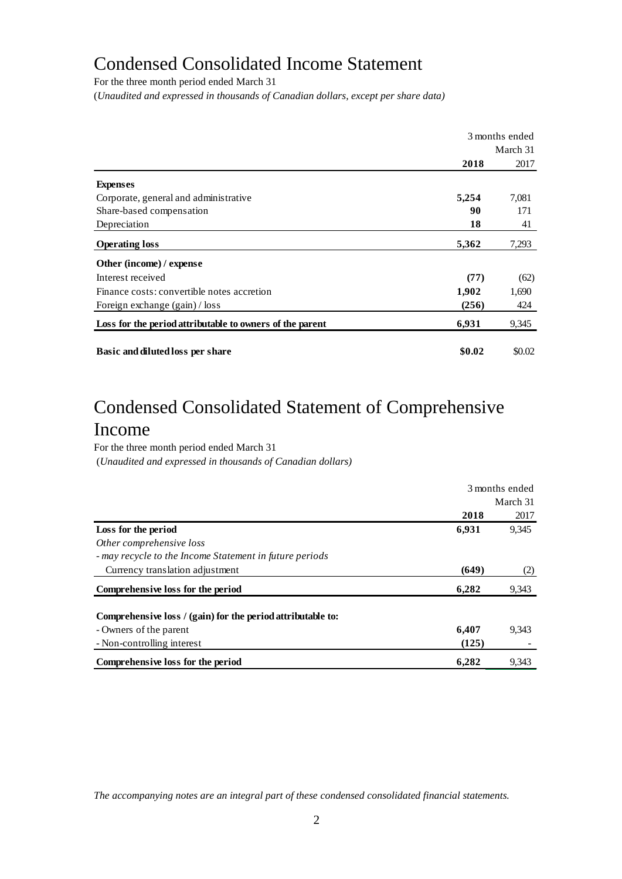## Condensed Consolidated Income Statement

For the three month period ended March 31

(*Unaudited and expressed in thousands of Canadian dollars, except per share data)*

|                                                          | 3 months ended |          |
|----------------------------------------------------------|----------------|----------|
|                                                          |                | March 31 |
|                                                          | 2018           | 2017     |
| <b>Expenses</b>                                          |                |          |
| Corporate, general and administrative                    | 5,254          | 7,081    |
| Share-based compensation                                 | 90             | 171      |
| Depreciation                                             | 18             | 41       |
| <b>Operating loss</b>                                    | 5,362          | 7,293    |
| Other (income) / expense                                 |                |          |
| Interest received                                        | (77)           | (62)     |
| Finance costs: convertible notes accretion               | 1,902          | 1,690    |
| Foreign exchange (gain) / loss                           | (256)          | 424      |
| Loss for the period attributable to owners of the parent | 6,931          | 9,345    |
| Basic and diluted loss per share                         | \$0.02         | \$0.02   |

# Condensed Consolidated Statement of Comprehensive Income

For the three month period ended March 31 (*Unaudited and expressed in thousands of Canadian dollars)*

|                                                             | 3 months ended |       |  |
|-------------------------------------------------------------|----------------|-------|--|
|                                                             | March 31       |       |  |
|                                                             | 2018           | 2017  |  |
| Loss for the period                                         | 6,931          | 9,345 |  |
| Other comprehensive loss                                    |                |       |  |
| - may recycle to the Income Statement in future periods     |                |       |  |
| Currency translation adjustment                             | (649)          | (2)   |  |
| Comprehensive loss for the period                           | 6,282          | 9,343 |  |
| Comprehensive loss / (gain) for the period attributable to: |                |       |  |
| - Owners of the parent                                      | 6,407          | 9.343 |  |
| - Non-controlling interest                                  | (125)          |       |  |
| Comprehensive loss for the period                           | 6,282          | 9,343 |  |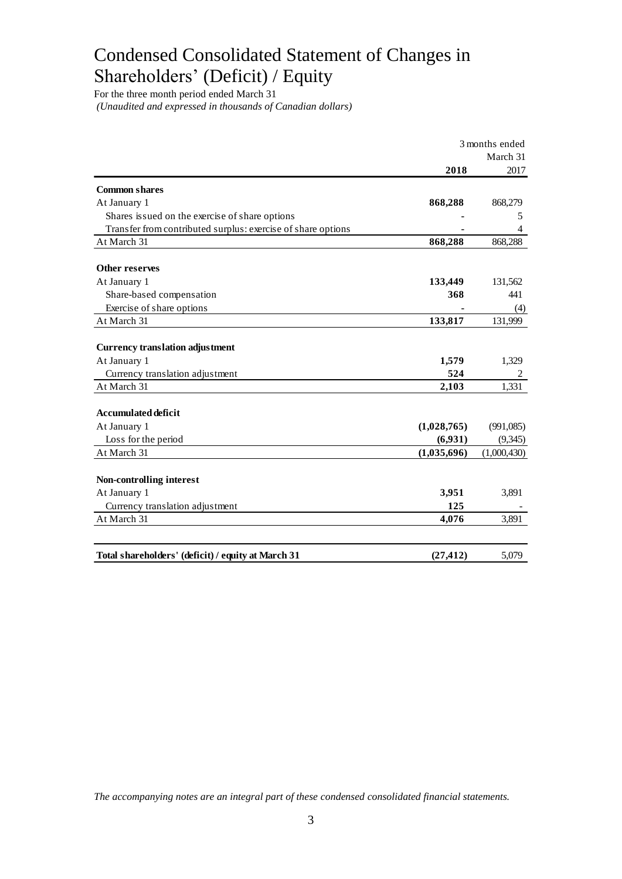# Condensed Consolidated Statement of Changes in Shareholders' (Deficit) / Equity

For the three month period ended March 31 *(Unaudited and expressed in thousands of Canadian dollars)*

|                                                              | 3 months ended |             |  |
|--------------------------------------------------------------|----------------|-------------|--|
|                                                              |                | March 31    |  |
|                                                              | 2018           | 2017        |  |
| <b>Common shares</b>                                         |                |             |  |
| At January 1                                                 | 868,288        | 868,279     |  |
| Shares issued on the exercise of share options               |                | 5           |  |
| Transfer from contributed surplus: exercise of share options |                | 4           |  |
| At March 31                                                  | 868,288        | 868,288     |  |
| <b>Other reserves</b>                                        |                |             |  |
| At January 1                                                 | 133,449        | 131,562     |  |
| Share-based compensation                                     | 368            | 441         |  |
| Exercise of share options                                    |                | (4)         |  |
| At March 31                                                  | 133,817        | 131,999     |  |
|                                                              |                |             |  |
| <b>Currency translation adjustment</b>                       |                |             |  |
| At January 1                                                 | 1,579          | 1,329       |  |
| Currency translation adjustment                              | 524            | 2           |  |
| At March 31                                                  | 2,103          | 1,331       |  |
| <b>Accumulated deficit</b>                                   |                |             |  |
| At January 1                                                 | (1,028,765)    | (991,085)   |  |
| Loss for the period                                          | (6,931)        | (9, 345)    |  |
| At March 31                                                  | (1,035,696)    | (1,000,430) |  |
| Non-controlling interest                                     |                |             |  |
| At January 1                                                 | 3,951          | 3,891       |  |
| Currency translation adjustment                              | 125            |             |  |
| At March 31                                                  | 4,076          | 3,891       |  |
|                                                              |                |             |  |
| Total shareholders' (deficit) / equity at March 31           | (27, 412)      | 5,079       |  |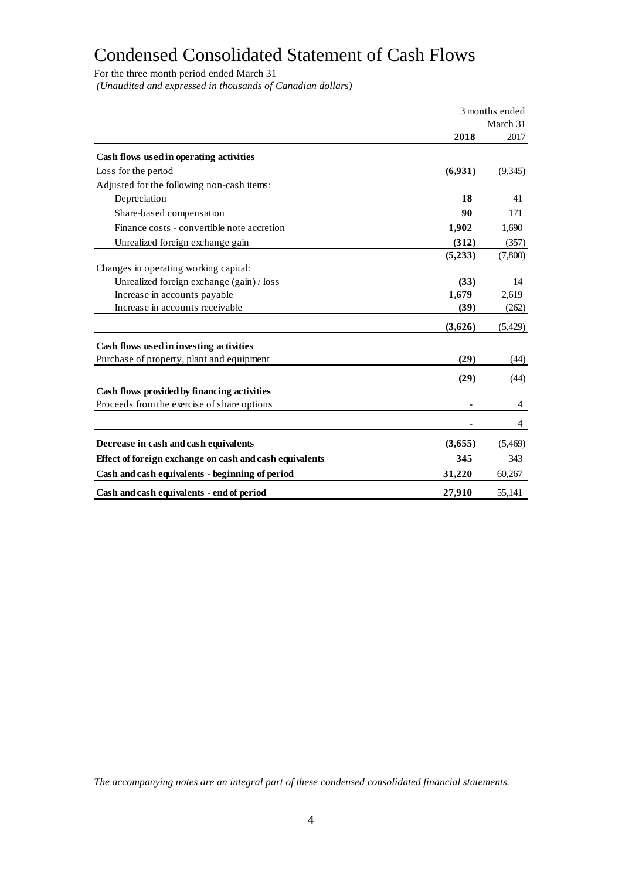# Condensed Consolidated Statement of Cash Flows

For the three month period ended March 31

*(Unaudited and expressed in thousands of Canadian dollars)*

|                                                         | 3 months ended |          |  |
|---------------------------------------------------------|----------------|----------|--|
|                                                         |                | March 31 |  |
|                                                         | 2018           | 2017     |  |
| Cash flows used in operating activities                 |                |          |  |
| Loss for the period                                     | (6,931)        | (9,345)  |  |
| Adjusted for the following non-cash items:              |                |          |  |
| Depreciation                                            | 18             | 41       |  |
| Share-based compensation                                | 90             | 171      |  |
| Finance costs - convertible note accretion              | 1,902          | 1,690    |  |
| Unrealized foreign exchange gain                        | (312)          | (357)    |  |
|                                                         | (5,233)        | (7,800)  |  |
| Changes in operating working capital:                   |                |          |  |
| Unrealized foreign exchange (gain) / loss               | (33)           | 14       |  |
| Increase in accounts payable                            | 1,679          | 2,619    |  |
| Increase in accounts receivable                         | (39)           | (262)    |  |
|                                                         | (3,626)        | (5,429)  |  |
| Cash flows used in investing activities                 |                |          |  |
| Purchase of property, plant and equipment               | (29)           | (44)     |  |
|                                                         | (29)           | (44)     |  |
| Cash flows provided by financing activities             |                |          |  |
| Proceeds from the exercise of share options             |                | 4        |  |
|                                                         |                | 4        |  |
| Decrease in cash and cash equivalents                   | (3,655)        | (5,469)  |  |
| Effect of foreign exchange on cash and cash equivalents | 345            | 343      |  |
| Cash and cash equivalents - beginning of period         | 31,220         | 60,267   |  |
| Cash and cash equivalents - end of period               | 27,910         | 55.141   |  |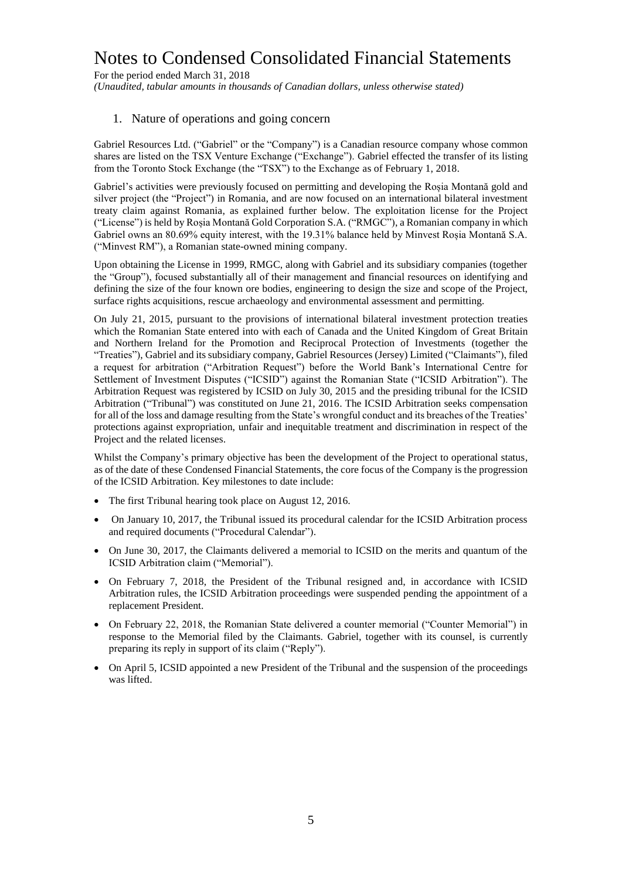For the period ended March 31, 2018 *(Unaudited, tabular amounts in thousands of Canadian dollars, unless otherwise stated)*

#### 1. Nature of operations and going concern

Gabriel Resources Ltd. ("Gabriel" or the "Company") is a Canadian resource company whose common shares are listed on the TSX Venture Exchange ("Exchange"). Gabriel effected the transfer of its listing from the Toronto Stock Exchange (the "TSX") to the Exchange as of February 1, 2018.

Gabriel's activities were previously focused on permitting and developing the Roșia Montană gold and silver project (the "Project") in Romania, and are now focused on an international bilateral investment treaty claim against Romania, as explained further below. The exploitation license for the Project ("License") is held by Roșia Montană Gold Corporation S.A. ("RMGC"), a Romanian company in which Gabriel owns an 80.69% equity interest, with the 19.31% balance held by Minvest Roșia Montană S.A. ("Minvest RM"), a Romanian state-owned mining company.

Upon obtaining the License in 1999, RMGC, along with Gabriel and its subsidiary companies (together the "Group"), focused substantially all of their management and financial resources on identifying and defining the size of the four known ore bodies, engineering to design the size and scope of the Project, surface rights acquisitions, rescue archaeology and environmental assessment and permitting.

On July 21, 2015, pursuant to the provisions of international bilateral investment protection treaties which the Romanian State entered into with each of Canada and the United Kingdom of Great Britain and Northern Ireland for the Promotion and Reciprocal Protection of Investments (together the "Treaties"), Gabriel and its subsidiary company, Gabriel Resources (Jersey) Limited ("Claimants"), filed a request for arbitration ("Arbitration Request") before the World Bank's International Centre for Settlement of Investment Disputes ("ICSID") against the Romanian State ("ICSID Arbitration"). The Arbitration Request was registered by ICSID on July 30, 2015 and the presiding tribunal for the ICSID Arbitration ("Tribunal") was constituted on June 21, 2016. The ICSID Arbitration seeks compensation for all of the loss and damage resulting from the State's wrongful conduct and its breaches of the Treaties' protections against expropriation, unfair and inequitable treatment and discrimination in respect of the Project and the related licenses.

Whilst the Company's primary objective has been the development of the Project to operational status, as of the date of these Condensed Financial Statements, the core focus of the Company is the progression of the ICSID Arbitration. Key milestones to date include:

- The first Tribunal hearing took place on August 12, 2016.
- On January 10, 2017, the Tribunal issued its procedural calendar for the ICSID Arbitration process and required documents ("Procedural Calendar").
- On June 30, 2017, the Claimants delivered a memorial to ICSID on the merits and quantum of the ICSID Arbitration claim ("Memorial").
- On February 7, 2018, the President of the Tribunal resigned and, in accordance with ICSID Arbitration rules, the ICSID Arbitration proceedings were suspended pending the appointment of a replacement President.
- On February 22, 2018, the Romanian State delivered a counter memorial ("Counter Memorial") in response to the Memorial filed by the Claimants. Gabriel, together with its counsel, is currently preparing its reply in support of its claim ("Reply").
- On April 5, ICSID appointed a new President of the Tribunal and the suspension of the proceedings was lifted.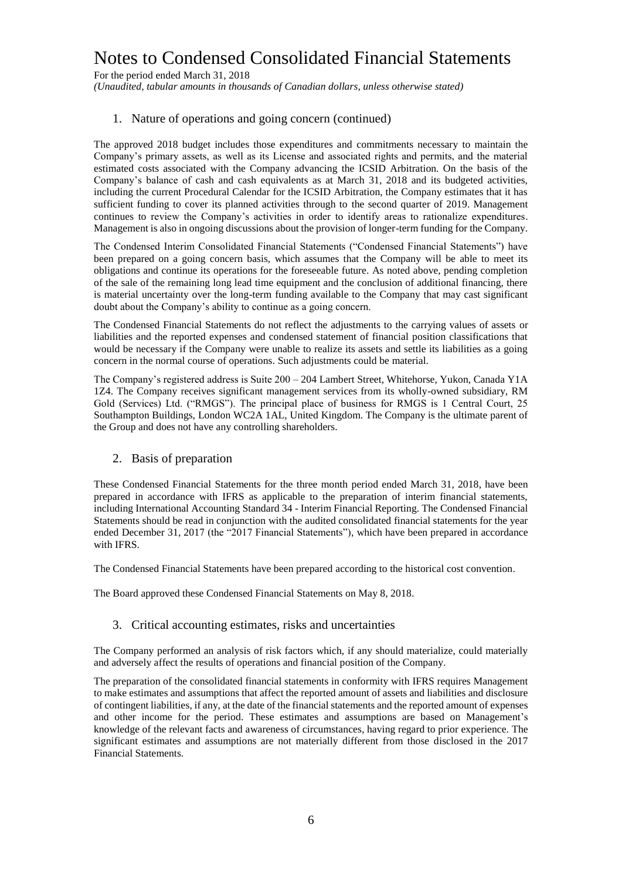For the period ended March 31, 2018

*(Unaudited, tabular amounts in thousands of Canadian dollars, unless otherwise stated)*

#### 1. Nature of operations and going concern (continued)

The approved 2018 budget includes those expenditures and commitments necessary to maintain the Company's primary assets, as well as its License and associated rights and permits, and the material estimated costs associated with the Company advancing the ICSID Arbitration. On the basis of the Company's balance of cash and cash equivalents as at March 31, 2018 and its budgeted activities, including the current Procedural Calendar for the ICSID Arbitration, the Company estimates that it has sufficient funding to cover its planned activities through to the second quarter of 2019. Management continues to review the Company's activities in order to identify areas to rationalize expenditures. Management is also in ongoing discussions about the provision of longer-term funding for the Company.

The Condensed Interim Consolidated Financial Statements ("Condensed Financial Statements") have been prepared on a going concern basis, which assumes that the Company will be able to meet its obligations and continue its operations for the foreseeable future. As noted above, pending completion of the sale of the remaining long lead time equipment and the conclusion of additional financing, there is material uncertainty over the long-term funding available to the Company that may cast significant doubt about the Company's ability to continue as a going concern.

The Condensed Financial Statements do not reflect the adjustments to the carrying values of assets or liabilities and the reported expenses and condensed statement of financial position classifications that would be necessary if the Company were unable to realize its assets and settle its liabilities as a going concern in the normal course of operations. Such adjustments could be material.

The Company's registered address is Suite 200 – 204 Lambert Street, Whitehorse, Yukon, Canada Y1A 1Z4. The Company receives significant management services from its wholly-owned subsidiary, RM Gold (Services) Ltd. ("RMGS"). The principal place of business for RMGS is 1 Central Court, 25 Southampton Buildings, London WC2A 1AL, United Kingdom. The Company is the ultimate parent of the Group and does not have any controlling shareholders.

#### 2. Basis of preparation

These Condensed Financial Statements for the three month period ended March 31, 2018, have been prepared in accordance with IFRS as applicable to the preparation of interim financial statements, including International Accounting Standard 34 - Interim Financial Reporting. The Condensed Financial Statements should be read in conjunction with the audited consolidated financial statements for the year ended December 31, 2017 (the "2017 Financial Statements"), which have been prepared in accordance with IFRS.

The Condensed Financial Statements have been prepared according to the historical cost convention.

The Board approved these Condensed Financial Statements on May 8, 2018.

#### 3. Critical accounting estimates, risks and uncertainties

The Company performed an analysis of risk factors which, if any should materialize, could materially and adversely affect the results of operations and financial position of the Company.

The preparation of the consolidated financial statements in conformity with IFRS requires Management to make estimates and assumptions that affect the reported amount of assets and liabilities and disclosure of contingent liabilities, if any, at the date of the financial statements and the reported amount of expenses and other income for the period. These estimates and assumptions are based on Management's knowledge of the relevant facts and awareness of circumstances, having regard to prior experience. The significant estimates and assumptions are not materially different from those disclosed in the 2017 Financial Statements.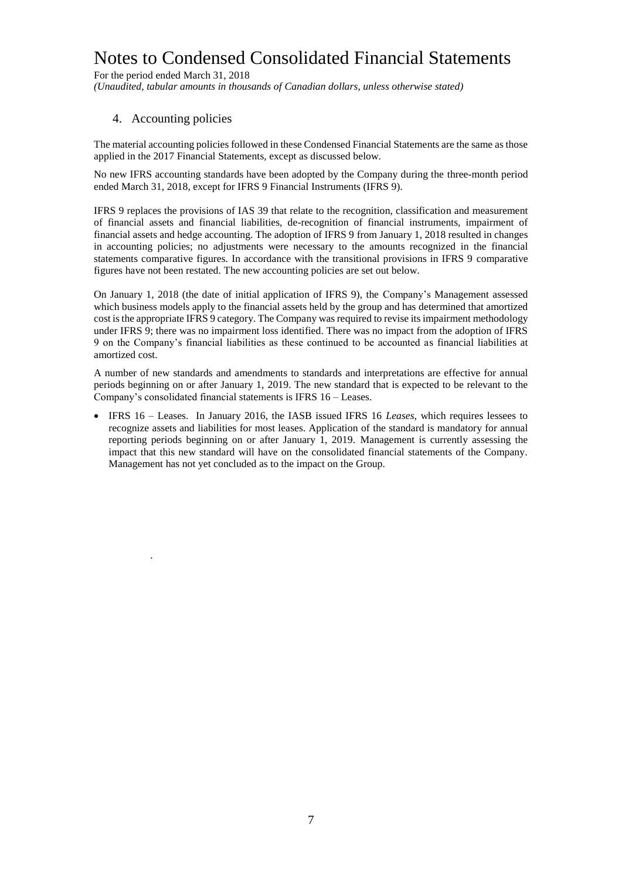For the period ended March 31, 2018 *(Unaudited, tabular amounts in thousands of Canadian dollars, unless otherwise stated)*

#### 4. Accounting policies

.

The material accounting policies followed in these Condensed Financial Statements are the same as those applied in the 2017 Financial Statements, except as discussed below.

No new IFRS accounting standards have been adopted by the Company during the three-month period ended March 31, 2018, except for IFRS 9 Financial Instruments (IFRS 9).

IFRS 9 replaces the provisions of IAS 39 that relate to the recognition, classification and measurement of financial assets and financial liabilities, de-recognition of financial instruments, impairment of financial assets and hedge accounting. The adoption of IFRS 9 from January 1, 2018 resulted in changes in accounting policies; no adjustments were necessary to the amounts recognized in the financial statements comparative figures. In accordance with the transitional provisions in IFRS 9 comparative figures have not been restated. The new accounting policies are set out below.

On January 1, 2018 (the date of initial application of IFRS 9), the Company's Management assessed which business models apply to the financial assets held by the group and has determined that amortized cost isthe appropriate IFRS 9 category. The Company was required to revise its impairment methodology under IFRS 9; there was no impairment loss identified. There was no impact from the adoption of IFRS 9 on the Company's financial liabilities as these continued to be accounted as financial liabilities at amortized cost.

A number of new standards and amendments to standards and interpretations are effective for annual periods beginning on or after January 1, 2019. The new standard that is expected to be relevant to the Company's consolidated financial statements is IFRS 16 – Leases.

 IFRS 16 – Leases. In January 2016, the IASB issued IFRS 16 *Leases*, which requires lessees to recognize assets and liabilities for most leases. Application of the standard is mandatory for annual reporting periods beginning on or after January 1, 2019. Management is currently assessing the impact that this new standard will have on the consolidated financial statements of the Company. Management has not yet concluded as to the impact on the Group.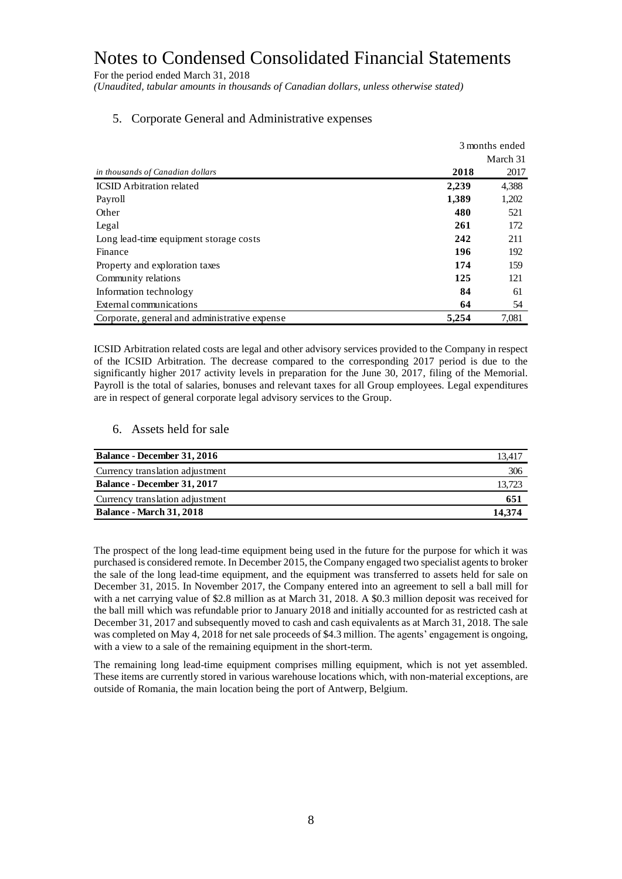For the period ended March 31, 2018

*(Unaudited, tabular amounts in thousands of Canadian dollars, unless otherwise stated)*

|                                               | 3 months ended |          |
|-----------------------------------------------|----------------|----------|
|                                               |                | March 31 |
| in thousands of Canadian dollars              | 2018           | 2017     |
| <b>ICSID</b> Arbitration related              | 2,239          | 4,388    |
| Payroll                                       | 1,389          | 1,202    |
| Other                                         | 480            | 521      |
| Legal                                         | 261            | 172      |
| Long lead-time equipment storage costs        | 242            | 211      |
| Finance                                       | 196            | 192      |
| Property and exploration taxes                | 174            | 159      |
| Community relations                           | 125            | 121      |
| Information technology                        | 84             | 61       |
| External communications                       | 64             | 54       |
| Corporate, general and administrative expense | 5,254          | 7,081    |

#### 5. Corporate General and Administrative expenses

ICSID Arbitration related costs are legal and other advisory services provided to the Company in respect of the ICSID Arbitration. The decrease compared to the corresponding 2017 period is due to the significantly higher 2017 activity levels in preparation for the June 30, 2017, filing of the Memorial. Payroll is the total of salaries, bonuses and relevant taxes for all Group employees. Legal expenditures are in respect of general corporate legal advisory services to the Group.

#### 6. Assets held for sale

| <b>Balance - December 31, 2016</b> | 13.417 |
|------------------------------------|--------|
| Currency translation adjustment    | 306    |
| <b>Balance - December 31, 2017</b> | 13.723 |
| Currency translation adjustment    | 651    |
| <b>Balance - March 31, 2018</b>    | 14.374 |

The prospect of the long lead-time equipment being used in the future for the purpose for which it was purchased is considered remote. In December 2015, the Company engaged two specialist agents to broker the sale of the long lead-time equipment, and the equipment was transferred to assets held for sale on December 31, 2015. In November 2017, the Company entered into an agreement to sell a ball mill for with a net carrying value of \$2.8 million as at March 31, 2018. A \$0.3 million deposit was received for the ball mill which was refundable prior to January 2018 and initially accounted for as restricted cash at December 31, 2017 and subsequently moved to cash and cash equivalents as at March 31, 2018. The sale was completed on May 4, 2018 for net sale proceeds of \$4.3 million. The agents' engagement is ongoing, with a view to a sale of the remaining equipment in the short-term.

The remaining long lead-time equipment comprises milling equipment, which is not yet assembled. These items are currently stored in various warehouse locations which, with non-material exceptions, are outside of Romania, the main location being the port of Antwerp, Belgium.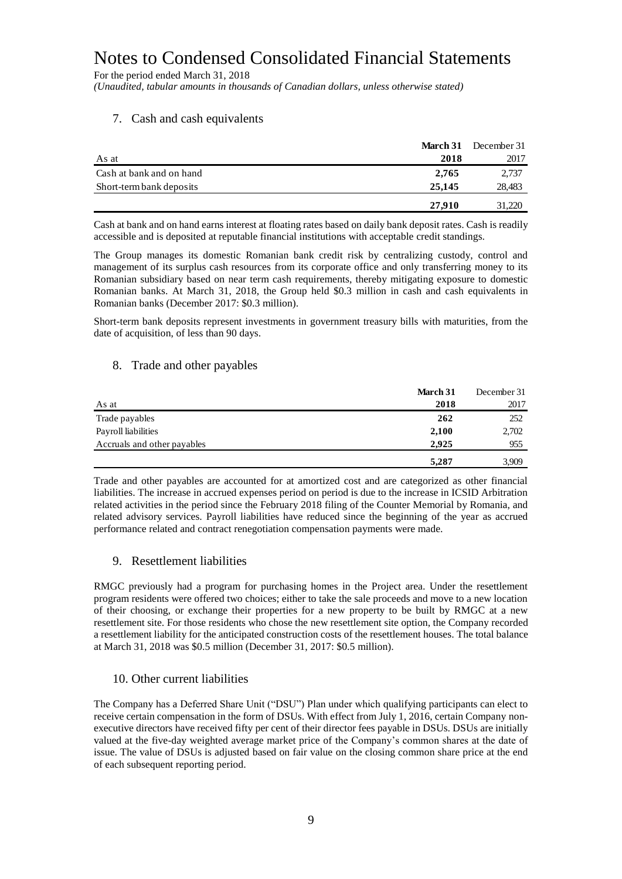For the period ended March 31, 2018

*(Unaudited, tabular amounts in thousands of Canadian dollars, unless otherwise stated)*

#### 7. Cash and cash equivalents

|                          | March 31 | December 31 |
|--------------------------|----------|-------------|
| As at                    | 2018     | 2017        |
| Cash at bank and on hand | 2,765    | 2,737       |
| Short-term bank deposits | 25,145   | 28,483      |
|                          | 27,910   | 31,220      |

Cash at bank and on hand earns interest at floating rates based on daily bank deposit rates. Cash is readily accessible and is deposited at reputable financial institutions with acceptable credit standings.

The Group manages its domestic Romanian bank credit risk by centralizing custody, control and management of its surplus cash resources from its corporate office and only transferring money to its Romanian subsidiary based on near term cash requirements, thereby mitigating exposure to domestic Romanian banks. At March 31, 2018, the Group held \$0.3 million in cash and cash equivalents in Romanian banks (December 2017: \$0.3 million).

Short-term bank deposits represent investments in government treasury bills with maturities, from the date of acquisition, of less than 90 days.

#### 8. Trade and other payables

|                             | March 31 | December 31 |
|-----------------------------|----------|-------------|
| As at                       | 2018     | 2017        |
| Trade payables              | 262      | 252         |
| Payroll liabilities         | 2,100    | 2,702       |
| Accruals and other payables | 2.925    | 955         |
|                             | 5,287    | 3,909       |

Trade and other payables are accounted for at amortized cost and are categorized as other financial liabilities. The increase in accrued expenses period on period is due to the increase in ICSID Arbitration related activities in the period since the February 2018 filing of the Counter Memorial by Romania, and related advisory services. Payroll liabilities have reduced since the beginning of the year as accrued performance related and contract renegotiation compensation payments were made.

#### 9. Resettlement liabilities

RMGC previously had a program for purchasing homes in the Project area. Under the resettlement program residents were offered two choices; either to take the sale proceeds and move to a new location of their choosing, or exchange their properties for a new property to be built by RMGC at a new resettlement site. For those residents who chose the new resettlement site option, the Company recorded a resettlement liability for the anticipated construction costs of the resettlement houses. The total balance at March 31, 2018 was \$0.5 million (December 31, 2017: \$0.5 million).

#### 10. Other current liabilities

The Company has a Deferred Share Unit ("DSU") Plan under which qualifying participants can elect to receive certain compensation in the form of DSUs. With effect from July 1, 2016, certain Company nonexecutive directors have received fifty per cent of their director fees payable in DSUs. DSUs are initially valued at the five-day weighted average market price of the Company's common shares at the date of issue. The value of DSUs is adjusted based on fair value on the closing common share price at the end of each subsequent reporting period.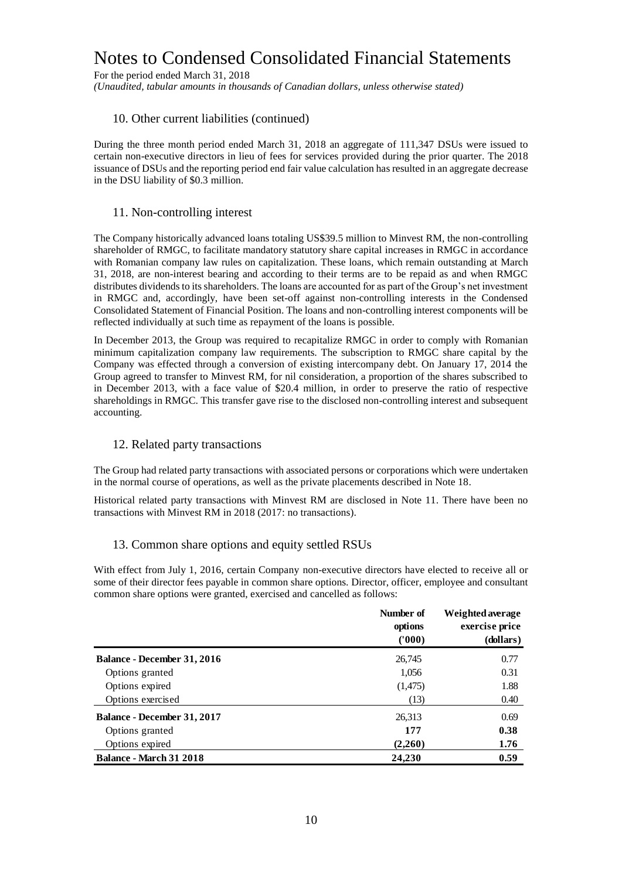For the period ended March 31, 2018

*(Unaudited, tabular amounts in thousands of Canadian dollars, unless otherwise stated)*

#### 10. Other current liabilities (continued)

During the three month period ended March 31, 2018 an aggregate of 111,347 DSUs were issued to certain non-executive directors in lieu of fees for services provided during the prior quarter. The 2018 issuance of DSUs and the reporting period end fair value calculation has resulted in an aggregate decrease in the DSU liability of \$0.3 million.

#### 11. Non-controlling interest

The Company historically advanced loans totaling US\$39.5 million to Minvest RM, the non-controlling shareholder of RMGC, to facilitate mandatory statutory share capital increases in RMGC in accordance with Romanian company law rules on capitalization. These loans, which remain outstanding at March 31, 2018, are non-interest bearing and according to their terms are to be repaid as and when RMGC distributes dividends to its shareholders. The loans are accounted for as part of the Group's net investment in RMGC and, accordingly, have been set-off against non-controlling interests in the Condensed Consolidated Statement of Financial Position. The loans and non-controlling interest components will be reflected individually at such time as repayment of the loans is possible.

In December 2013, the Group was required to recapitalize RMGC in order to comply with Romanian minimum capitalization company law requirements. The subscription to RMGC share capital by the Company was effected through a conversion of existing intercompany debt. On January 17, 2014 the Group agreed to transfer to Minvest RM, for nil consideration, a proportion of the shares subscribed to in December 2013, with a face value of \$20.4 million, in order to preserve the ratio of respective shareholdings in RMGC. This transfer gave rise to the disclosed non-controlling interest and subsequent accounting.

#### 12. Related party transactions

The Group had related party transactions with associated persons or corporations which were undertaken in the normal course of operations, as well as the private placements described in Note 18.

Historical related party transactions with Minvest RM are disclosed in Note 11. There have been no transactions with Minvest RM in 2018 (2017: no transactions).

#### 13. Common share options and equity settled RSUs

With effect from July 1, 2016, certain Company non-executive directors have elected to receive all or some of their director fees payable in common share options. Director, officer, employee and consultant common share options were granted, exercised and cancelled as follows:

|                                    | Number of<br>options<br>(1000) | Weighted average<br>exercise price<br>(dollars) |
|------------------------------------|--------------------------------|-------------------------------------------------|
| <b>Balance - December 31, 2016</b> | 26,745                         | 0.77                                            |
| Options granted                    | 1,056                          | 0.31                                            |
| Options expired                    | (1,475)                        | 1.88                                            |
| Options exercised                  | (13)                           | 0.40                                            |
| Balance - December 31, 2017        | 26,313                         | 0.69                                            |
| Options granted                    | 177                            | 0.38                                            |
| Options expired                    | (2,260)                        | 1.76                                            |
| <b>Balance - March 31 2018</b>     | 24,230                         | 0.59                                            |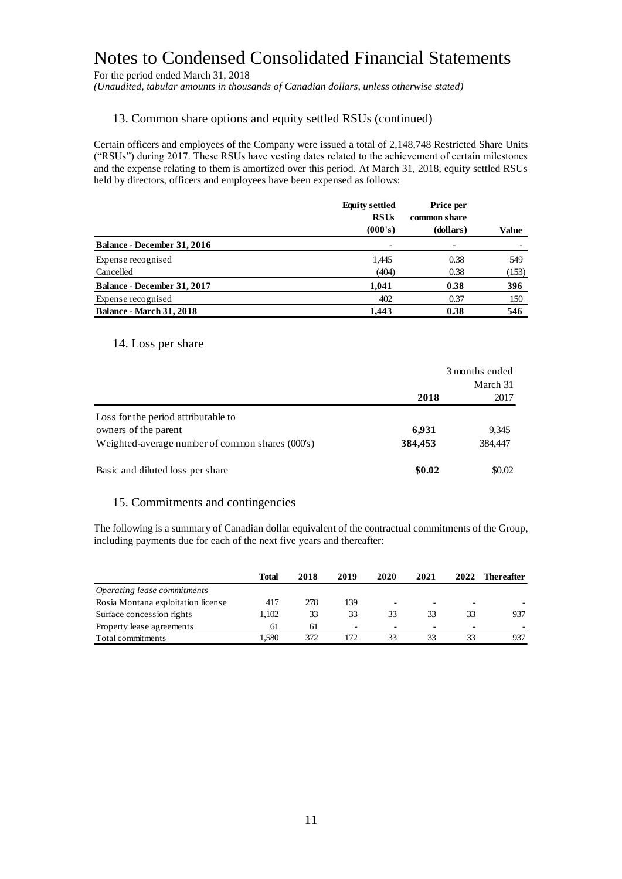For the period ended March 31, 2018

*(Unaudited, tabular amounts in thousands of Canadian dollars, unless otherwise stated)*

#### 13. Common share options and equity settled RSUs (continued)

Certain officers and employees of the Company were issued a total of 2,148,748 Restricted Share Units ("RSUs") during 2017. These RSUs have vesting dates related to the achievement of certain milestones and the expense relating to them is amortized over this period. At March 31, 2018, equity settled RSUs held by directors, officers and employees have been expensed as follows:

|                                    | <b>Equity settled</b><br><b>RSUs</b> | Price per<br>common share |       |
|------------------------------------|--------------------------------------|---------------------------|-------|
|                                    | (000's)                              | (dollars)                 | Value |
| <b>Balance - December 31, 2016</b> |                                      |                           |       |
| Expense recognised                 | 1,445                                | 0.38                      | 549   |
| Cancelled                          | (404)                                | 0.38                      | (153) |
| <b>Balance - December 31, 2017</b> | 1,041                                | 0.38                      | 396   |
| Expense recognised                 | 402                                  | 0.37                      | 150   |
| <b>Balance - March 31, 2018</b>    | 1.443                                | 0.38                      | 546   |

#### 14. Loss per share

|                                                  | 3 months ended |          |
|--------------------------------------------------|----------------|----------|
|                                                  |                | March 31 |
|                                                  | 2018           | 2017     |
| Loss for the period attributable to              |                |          |
| owners of the parent                             | 6,931          | 9,345    |
| Weighted-average number of common shares (000's) | 384,453        | 384,447  |
| Basic and diluted loss per share                 | \$0.02         | \$0.02   |

#### 15. Commitments and contingencies

The following is a summary of Canadian dollar equivalent of the contractual commitments of the Group, including payments due for each of the next five years and thereafter:

|                                    | Total | 2018 | 2019 | 2020                     | 2021 | 2022                     | Thereafter |
|------------------------------------|-------|------|------|--------------------------|------|--------------------------|------------|
| Operating lease commitments        |       |      |      |                          |      |                          |            |
| Rosia Montana exploitation license | 417   | 278  | 139  | $\overline{\phantom{0}}$ |      | $\overline{\phantom{0}}$ |            |
| Surface concession rights          | 1.102 | 33   | 33   | 33                       | 33   | 33                       | 937        |
| Property lease agreements          | 61    | 61   |      |                          |      | $\overline{\phantom{0}}$ |            |
| Total commitments                  | .580  | 372  | 172  | 33                       | 33   | 33                       | 937        |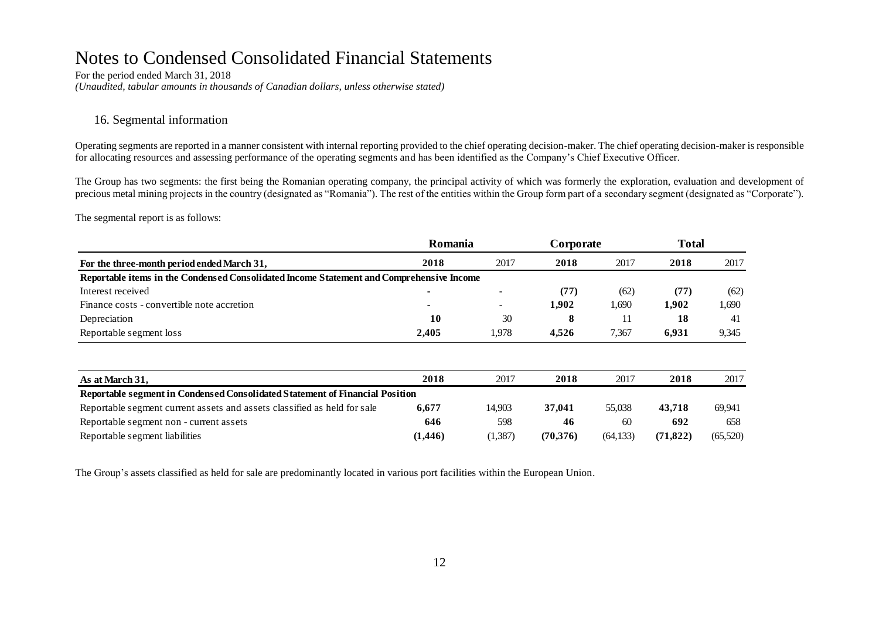For the period ended March 31, 2018 *(Unaudited, tabular amounts in thousands of Canadian dollars, unless otherwise stated)*

#### 16. Segmental information

Operating segments are reported in a manner consistent with internal reporting provided to the chief operating decision-maker. The chief operating decision-maker is responsible for allocating resources and assessing performance of the operating segments and has been identified as the Company's Chief Executive Officer.

The Group has two segments: the first being the Romanian operating company, the principal activity of which was formerly the exploration, evaluation and development of precious metal mining projects in the country (designated as "Romania"). The rest of the entities within the Group form part of a secondary segment (designated as "Corporate").

The segmental report is as follows:

|                                                                                          | Romania                  |                          | Corporate |           | <b>Total</b> |          |
|------------------------------------------------------------------------------------------|--------------------------|--------------------------|-----------|-----------|--------------|----------|
| For the three-month period ended March 31,                                               | 2018                     | 2017                     | 2018      | 2017      | 2018         | 2017     |
| Reportable items in the Condensed Consolidated Income Statement and Comprehensive Income |                          |                          |           |           |              |          |
| Interest received                                                                        |                          | $\overline{\phantom{a}}$ | (77)      | (62)      | (77)         | (62)     |
| Finance costs - convertible note accretion                                               | $\overline{\phantom{0}}$ | $\overline{\phantom{0}}$ | 1,902     | 1,690     | 1,902        | 1,690    |
| Depreciation                                                                             | 10                       | 30                       | 8         | 11        | 18           | 41       |
| Reportable segment loss                                                                  | 2,405                    | 1,978                    | 4,526     | 7,367     | 6,931        | 9,345    |
|                                                                                          |                          |                          |           |           |              |          |
| As at March 31,                                                                          | 2018                     | 2017                     | 2018      | 2017      | 2018         | 2017     |
| Reportable segment in Condensed Consolidated Statement of Financial Position             |                          |                          |           |           |              |          |
| Reportable segment current assets and assets classified as held for sale                 | 6,677                    | 14,903                   | 37,041    | 55,038    | 43,718       | 69,941   |
| Reportable segment non - current assets                                                  | 646                      | 598                      | 46        | 60        | 692          | 658      |
| Reportable segment liabilities                                                           | (1,446)                  | (1,387)                  | (70,376)  | (64, 133) | (71, 822)    | (65,520) |

The Group's assets classified as held for sale are predominantly located in various port facilities within the European Union.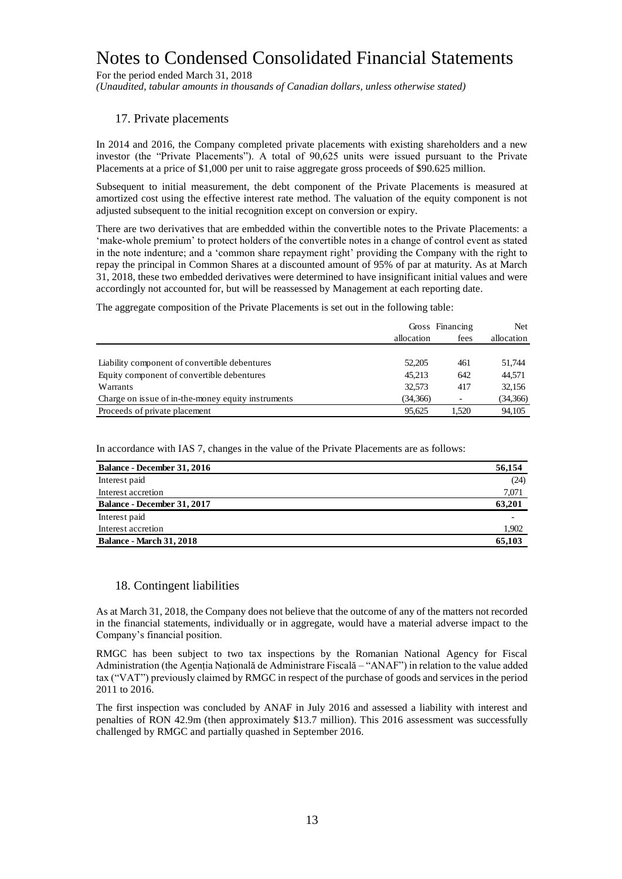For the period ended March 31, 2018

*(Unaudited, tabular amounts in thousands of Canadian dollars, unless otherwise stated)*

#### 17. Private placements

In 2014 and 2016, the Company completed private placements with existing shareholders and a new investor (the "Private Placements"). A total of 90,625 units were issued pursuant to the Private Placements at a price of \$1,000 per unit to raise aggregate gross proceeds of \$90.625 million.

Subsequent to initial measurement, the debt component of the Private Placements is measured at amortized cost using the effective interest rate method. The valuation of the equity component is not adjusted subsequent to the initial recognition except on conversion or expiry.

There are two derivatives that are embedded within the convertible notes to the Private Placements: a 'make-whole premium' to protect holders of the convertible notes in a change of control event as stated in the note indenture; and a 'common share repayment right' providing the Company with the right to repay the principal in Common Shares at a discounted amount of 95% of par at maturity. As at March 31, 2018, these two embedded derivatives were determined to have insignificant initial values and were accordingly not accounted for, but will be reassessed by Management at each reporting date.

The aggregate composition of the Private Placements is set out in the following table:

|                                                    | allocation | Gross Financing<br>fees | Net<br>allocation |
|----------------------------------------------------|------------|-------------------------|-------------------|
| Liability component of convertible debentures      | 52,205     | 461                     | 51,744            |
| Equity component of convertible debentures         | 45.213     | 642                     | 44,571            |
| Warrants                                           | 32.573     | 417                     | 32,156            |
| Charge on issue of in-the-money equity instruments | (34,366)   |                         | (34, 366)         |
| Proceeds of private placement                      | 95.625     | 1.520                   | 94.105            |

In accordance with IAS 7, changes in the value of the Private Placements are as follows:

| <b>Balance - December 31, 2016</b> | 56,154 |
|------------------------------------|--------|
| Interest paid                      | (24)   |
| Interest accretion                 | 7,071  |
| Balance - December 31, 2017        | 63,201 |
| Interest paid                      |        |
| Interest accretion                 | 1,902  |
| <b>Balance - March 31, 2018</b>    | 65.103 |

#### 18. Contingent liabilities

As at March 31, 2018, the Company does not believe that the outcome of any of the matters not recorded in the financial statements, individually or in aggregate, would have a material adverse impact to the Company's financial position.

RMGC has been subject to two tax inspections by the Romanian National Agency for Fiscal Administration (the Agenția Națională de Administrare Fiscală – "ANAF") in relation to the value added tax ("VAT") previously claimed by RMGC in respect of the purchase of goods and services in the period 2011 to 2016.

The first inspection was concluded by ANAF in July 2016 and assessed a liability with interest and penalties of RON 42.9m (then approximately \$13.7 million). This 2016 assessment was successfully challenged by RMGC and partially quashed in September 2016.